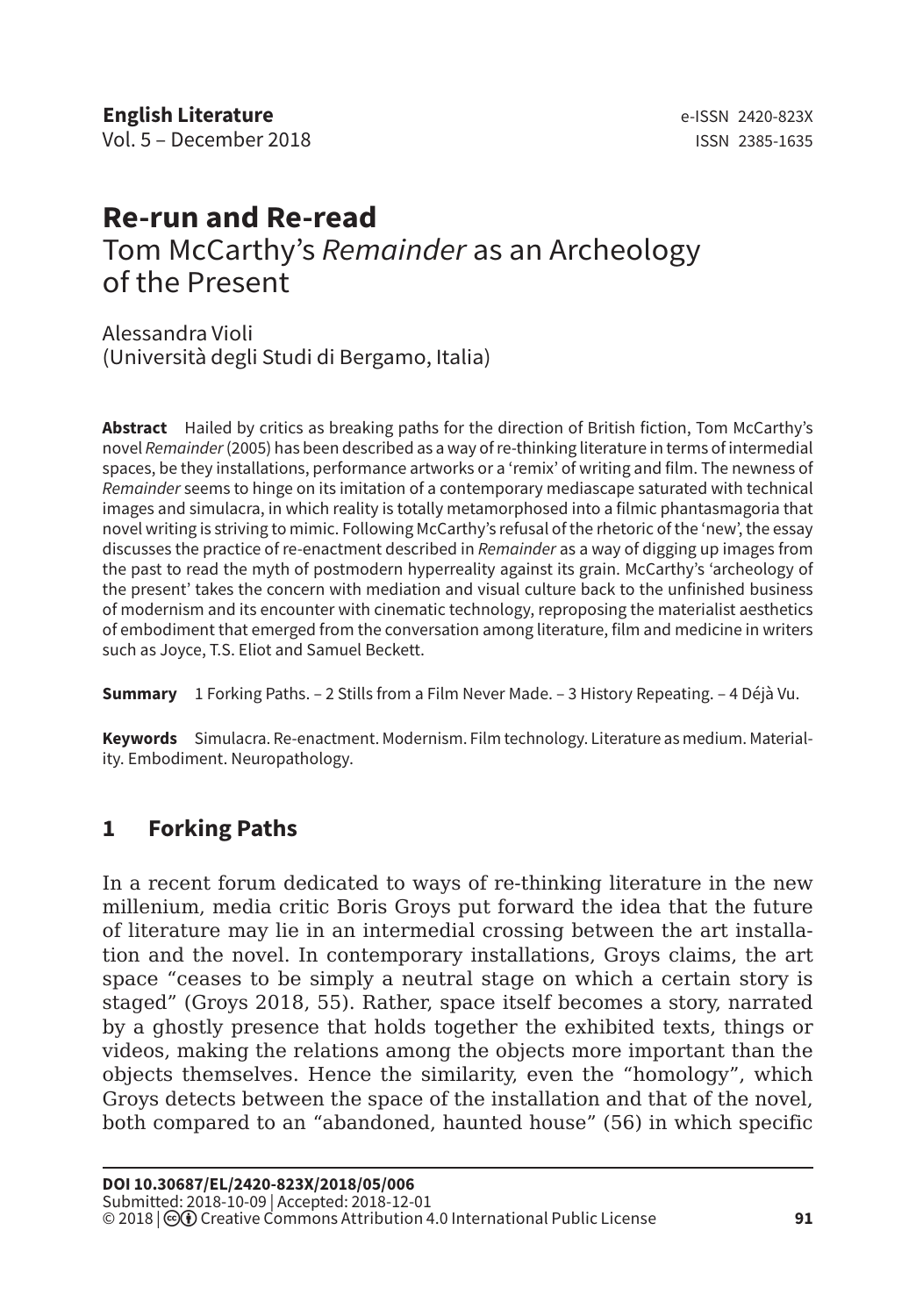# **Re-run and Re-read** Tom McCarthy's *Remainder* as an Archeology of the Present

Alessandra Violi (Università degli Studi di Bergamo, Italia)

**Abstract** Hailed by critics as breaking paths for the direction of British fiction, Tom McCarthy's novel *Remainder* (2005) has been described as a way of re-thinking literature in terms of intermedial spaces, be they installations, performance artworks or a 'remix' of writing and film. The newness of *Remainder* seems to hinge on its imitation of a contemporary mediascape saturated with technical images and simulacra, in which reality is totally metamorphosed into a filmic phantasmagoria that novel writing is striving to mimic. Following McCarthy's refusal of the rhetoric of the 'new', the essay discusses the practice of re-enactment described in *Remainder* as a way of digging up images from the past to read the myth of postmodern hyperreality against its grain. McCarthy's 'archeology of the present' takes the concern with mediation and visual culture back to the unfinished business of modernism and its encounter with cinematic technology, reproposing the materialist aesthetics of embodiment that emerged from the conversation among literature, film and medicine in writers such as Joyce, T.S. Eliot and Samuel Beckett.

**Summary** 1 Forking Paths. – 2 Stills from a Film Never Made. – 3 History Repeating. – 4 Déjà Vu.

**Keywords** Simulacra. Re-enactment. Modernism. Film technology. Literature as medium. Materiality. Embodiment. Neuropathology.

## **1 Forking Paths**

In a recent forum dedicated to ways of re-thinking literature in the new millenium, media critic Boris Groys put forward the idea that the future of literature may lie in an intermedial crossing between the art installation and the novel. In contemporary installations, Groys claims, the art space "ceases to be simply a neutral stage on which a certain story is staged" (Groys 2018, 55). Rather, space itself becomes a story, narrated by a ghostly presence that holds together the exhibited texts, things or videos, making the relations among the objects more important than the objects themselves. Hence the similarity, even the "homology", which Groys detects between the space of the installation and that of the novel, both compared to an "abandoned, haunted house" (56) in which specific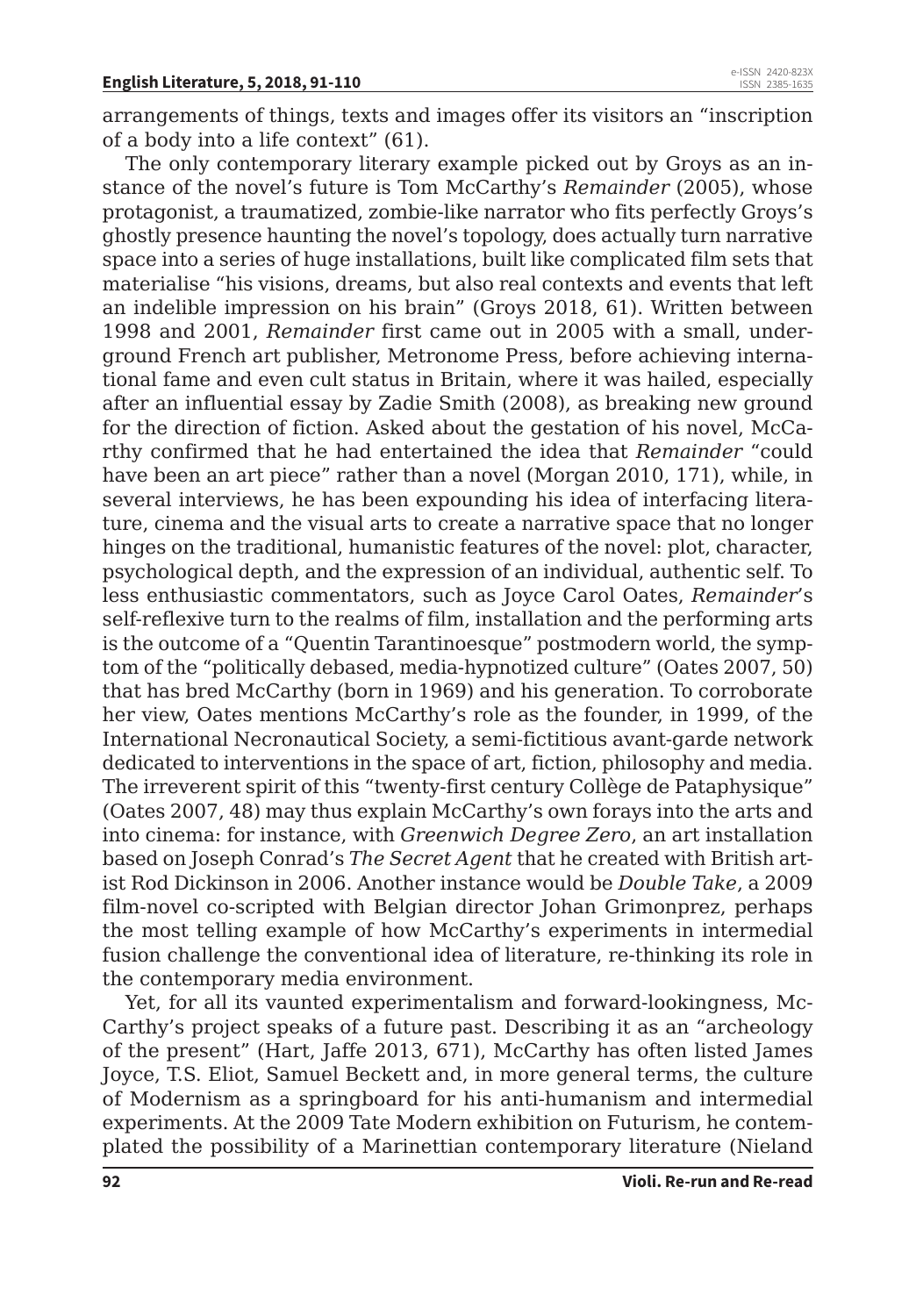arrangements of things, texts and images offer its visitors an "inscription of a body into a life context" (61).

The only contemporary literary example picked out by Groys as an instance of the novel's future is Tom McCarthy's *Remainder* (2005), whose protagonist, a traumatized, zombie-like narrator who fits perfectly Groys's ghostly presence haunting the novel's topology, does actually turn narrative space into a series of huge installations, built like complicated film sets that materialise "his visions, dreams, but also real contexts and events that left an indelible impression on his brain" (Groys 2018, 61). Written between 1998 and 2001, *Remainder* first came out in 2005 with a small, underground French art publisher, Metronome Press, before achieving international fame and even cult status in Britain, where it was hailed, especially after an influential essay by Zadie Smith (2008), as breaking new ground for the direction of fiction. Asked about the gestation of his novel, McCarthy confirmed that he had entertained the idea that *Remainder* "could have been an art piece" rather than a novel (Morgan 2010, 171), while, in several interviews, he has been expounding his idea of interfacing literature, cinema and the visual arts to create a narrative space that no longer hinges on the traditional, humanistic features of the novel: plot, character, psychological depth, and the expression of an individual, authentic self. To less enthusiastic commentators, such as Joyce Carol Oates, *Remainder*'s self-reflexive turn to the realms of film, installation and the performing arts is the outcome of a "Quentin Tarantinoesque" postmodern world, the symptom of the "politically debased, media-hypnotized culture" (Oates 2007, 50) that has bred McCarthy (born in 1969) and his generation. To corroborate her view, Oates mentions McCarthy's role as the founder, in 1999, of the International Necronautical Society, a semi-fictitious avant-garde network dedicated to interventions in the space of art, fiction, philosophy and media. The irreverent spirit of this "twenty-first century Collège de Pataphysique" (Oates 2007, 48) may thus explain McCarthy's own forays into the arts and into cinema: for instance, with *Greenwich Degree Zero*, an art installation based on Joseph Conrad's *The Secret Agent* that he created with British artist Rod Dickinson in 2006. Another instance would be *Double Take*, a 2009 film-novel co-scripted with Belgian director Johan Grimonprez, perhaps the most telling example of how McCarthy's experiments in intermedial fusion challenge the conventional idea of literature, re-thinking its role in the contemporary media environment.

Yet, for all its vaunted experimentalism and forward-lookingness, Mc-Carthy's project speaks of a future past. Describing it as an "archeology of the present" (Hart, Jaffe 2013, 671), McCarthy has often listed James Joyce, T.S. Eliot, Samuel Beckett and, in more general terms, the culture of Modernism as a springboard for his anti-humanism and intermedial experiments. At the 2009 Tate Modern exhibition on Futurism, he contemplated the possibility of a Marinettian contemporary literature (Nieland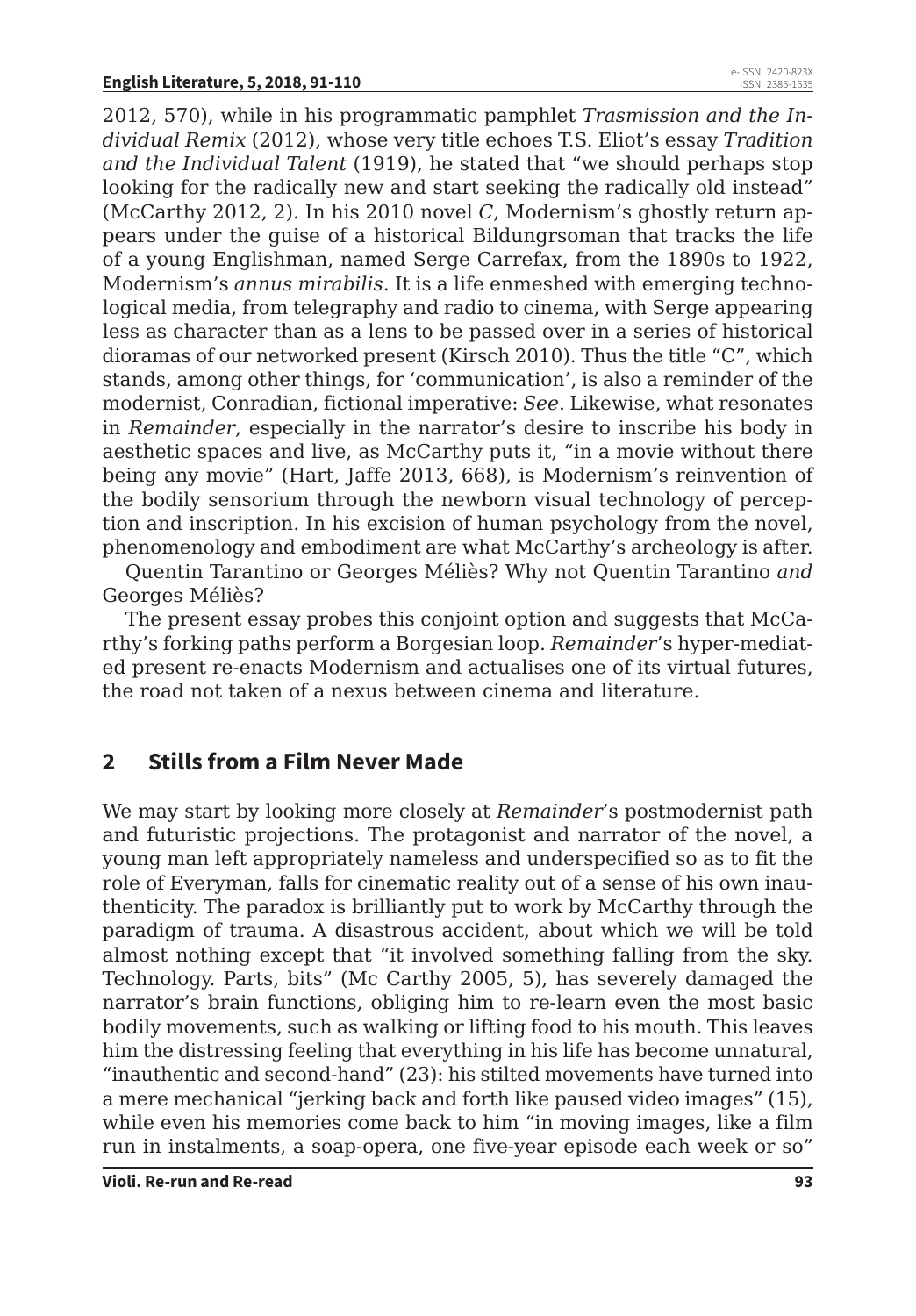2012, 570), while in his programmatic pamphlet *Trasmission and the Individual Remix* (2012), whose very title echoes T.S. Eliot's essay *Tradition and the Individual Talent* (1919), he stated that "we should perhaps stop looking for the radically new and start seeking the radically old instead" (McCarthy 2012, 2). In his 2010 novel *C*, Modernism's ghostly return appears under the guise of a historical Bildungrsoman that tracks the life of a young Englishman, named Serge Carrefax, from the 1890s to 1922, Modernism's *annus mirabilis*. It is a life enmeshed with emerging technological media, from telegraphy and radio to cinema, with Serge appearing less as character than as a lens to be passed over in a series of historical dioramas of our networked present (Kirsch 2010). Thus the title "C", which stands, among other things, for 'communication', is also a reminder of the modernist, Conradian, fictional imperative: *See*. Likewise, what resonates in *Remainder*, especially in the narrator's desire to inscribe his body in aesthetic spaces and live, as McCarthy puts it, "in a movie without there being any movie" (Hart, Jaffe 2013, 668), is Modernism's reinvention of the bodily sensorium through the newborn visual technology of perception and inscription. In his excision of human psychology from the novel, phenomenology and embodiment are what McCarthy's archeology is after.

Quentin Tarantino or Georges Méliès? Why not Quentin Tarantino *and* Georges Méliès?

The present essay probes this conjoint option and suggests that McCarthy's forking paths perform a Borgesian loop. *Remainder*'s hyper-mediated present re-enacts Modernism and actualises one of its virtual futures, the road not taken of a nexus between cinema and literature.

### **2 Stills from a Film Never Made**

We may start by looking more closely at *Remainder*'s postmodernist path and futuristic projections. The protagonist and narrator of the novel, a young man left appropriately nameless and underspecified so as to fit the role of Everyman, falls for cinematic reality out of a sense of his own inauthenticity. The paradox is brilliantly put to work by McCarthy through the paradigm of trauma. A disastrous accident, about which we will be told almost nothing except that "it involved something falling from the sky. Technology. Parts, bits" (Mc Carthy 2005, 5), has severely damaged the narrator's brain functions, obliging him to re-learn even the most basic bodily movements, such as walking or lifting food to his mouth. This leaves him the distressing feeling that everything in his life has become unnatural, "inauthentic and second-hand" (23): his stilted movements have turned into a mere mechanical "jerking back and forth like paused video images" (15), while even his memories come back to him "in moving images, like a film run in instalments, a soap-opera, one five-year episode each week or so"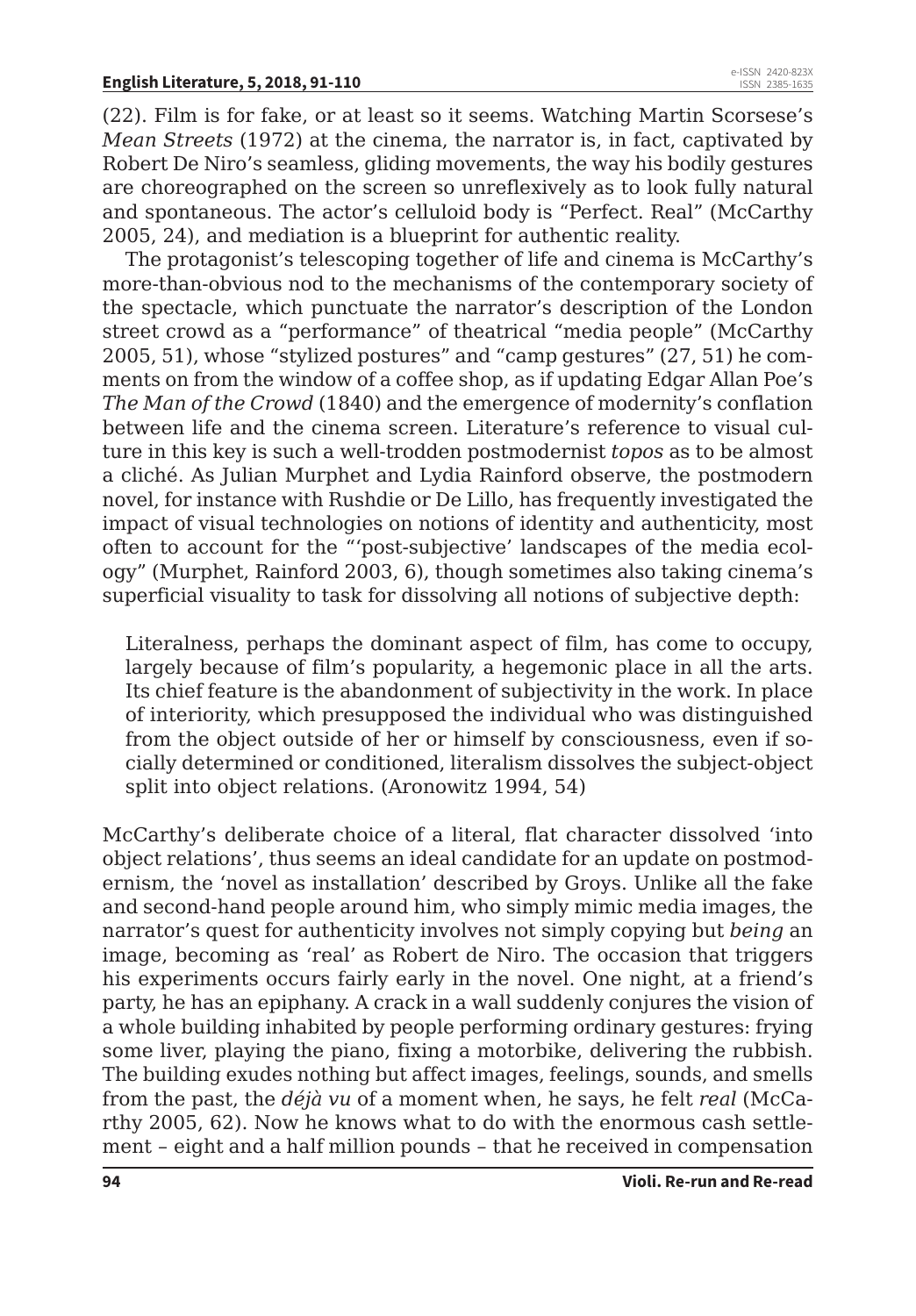(22). Film is for fake, or at least so it seems. Watching Martin Scorsese's *Mean Streets* (1972) at the cinema, the narrator is, in fact, captivated by Robert De Niro's seamless, gliding movements, the way his bodily gestures are choreographed on the screen so unreflexively as to look fully natural and spontaneous. The actor's celluloid body is "Perfect. Real" (McCarthy 2005, 24), and mediation is a blueprint for authentic reality.

The protagonist's telescoping together of life and cinema is McCarthy's more-than-obvious nod to the mechanisms of the contemporary society of the spectacle, which punctuate the narrator's description of the London street crowd as a "performance" of theatrical "media people" (McCarthy 2005, 51), whose "stylized postures" and "camp gestures" (27, 51) he comments on from the window of a coffee shop, as if updating Edgar Allan Poe's *The Man of the Crowd* (1840) and the emergence of modernity's conflation between life and the cinema screen. Literature's reference to visual culture in this key is such a well-trodden postmodernist *topos* as to be almost a cliché. As Julian Murphet and Lydia Rainford observe, the postmodern novel, for instance with Rushdie or De Lillo, has frequently investigated the impact of visual technologies on notions of identity and authenticity, most often to account for the "'post-subjective' landscapes of the media ecology" (Murphet, Rainford 2003, 6), though sometimes also taking cinema's superficial visuality to task for dissolving all notions of subjective depth:

Literalness, perhaps the dominant aspect of film, has come to occupy, largely because of film's popularity, a hegemonic place in all the arts. Its chief feature is the abandonment of subjectivity in the work. In place of interiority, which presupposed the individual who was distinguished from the object outside of her or himself by consciousness, even if socially determined or conditioned, literalism dissolves the subject-object split into object relations. (Aronowitz 1994, 54)

McCarthy's deliberate choice of a literal, flat character dissolved 'into object relations', thus seems an ideal candidate for an update on postmodernism, the 'novel as installation' described by Groys. Unlike all the fake and second-hand people around him, who simply mimic media images, the narrator's quest for authenticity involves not simply copying but *being* an image, becoming as 'real' as Robert de Niro. The occasion that triggers his experiments occurs fairly early in the novel. One night, at a friend's party, he has an epiphany. A crack in a wall suddenly conjures the vision of a whole building inhabited by people performing ordinary gestures: frying some liver, playing the piano, fixing a motorbike, delivering the rubbish. The building exudes nothing but affect images, feelings, sounds, and smells from the past, the *déjà vu* of a moment when, he says, he felt *real* (McCarthy 2005, 62). Now he knows what to do with the enormous cash settlement – eight and a half million pounds – that he received in compensation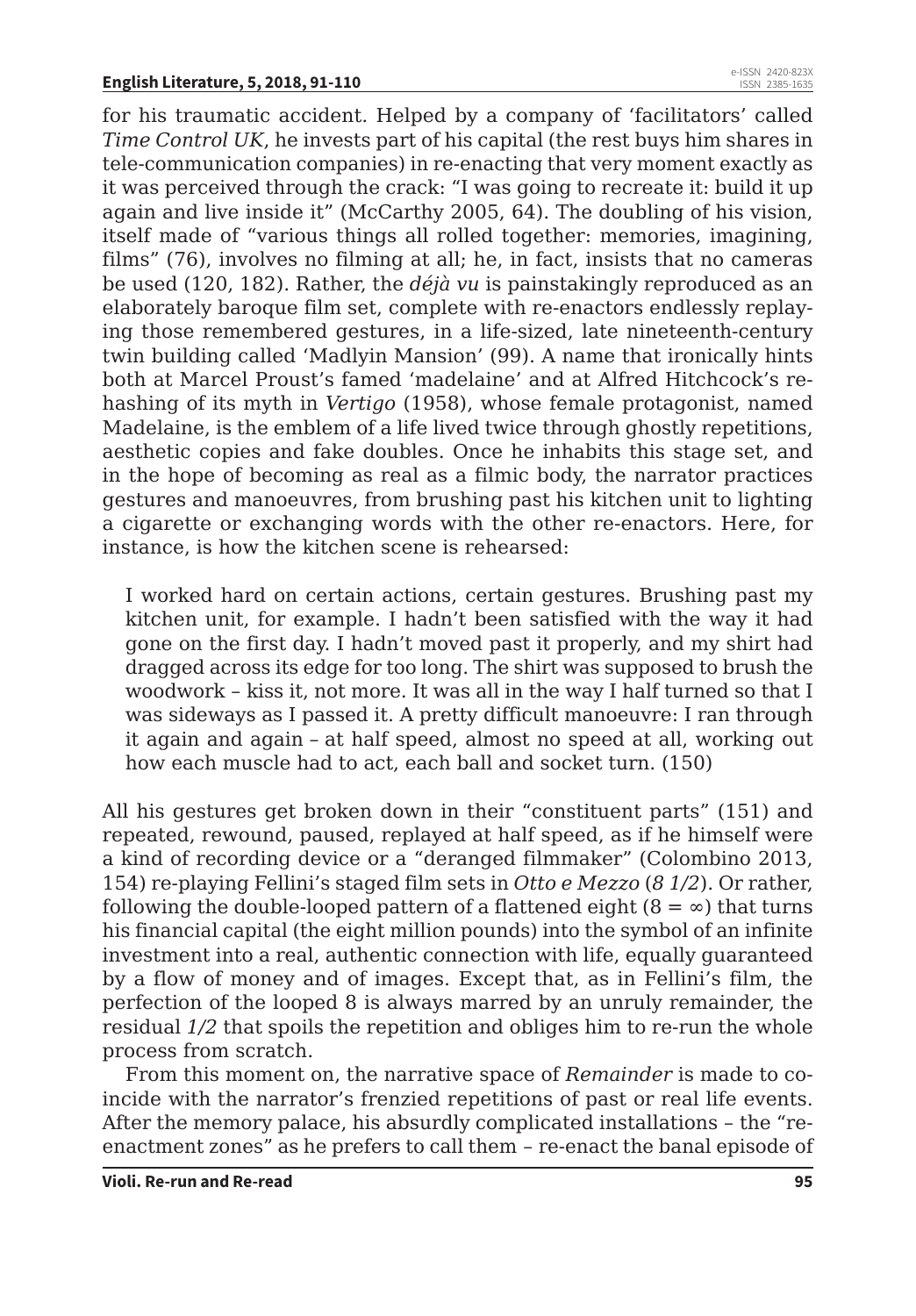for his traumatic accident. Helped by a company of 'facilitators' called *Time Control UK*, he invests part of his capital (the rest buys him shares in tele-communication companies) in re-enacting that very moment exactly as it was perceived through the crack: "I was going to recreate it: build it up again and live inside it" (McCarthy 2005, 64). The doubling of his vision, itself made of "various things all rolled together: memories, imagining, films" (76), involves no filming at all; he, in fact, insists that no cameras be used (120, 182). Rather, the *déjà vu* is painstakingly reproduced as an elaborately baroque film set, complete with re-enactors endlessly replaying those remembered gestures, in a life-sized, late nineteenth-century twin building called 'Madlyin Mansion' (99). A name that ironically hints both at Marcel Proust's famed 'madelaine' and at Alfred Hitchcock's rehashing of its myth in *Vertigo* (1958), whose female protagonist, named Madelaine, is the emblem of a life lived twice through ghostly repetitions, aesthetic copies and fake doubles. Once he inhabits this stage set, and in the hope of becoming as real as a filmic body, the narrator practices gestures and manoeuvres, from brushing past his kitchen unit to lighting a cigarette or exchanging words with the other re-enactors. Here, for instance, is how the kitchen scene is rehearsed:

I worked hard on certain actions, certain gestures. Brushing past my kitchen unit, for example. I hadn't been satisfied with the way it had gone on the first day. I hadn't moved past it properly, and my shirt had dragged across its edge for too long. The shirt was supposed to brush the woodwork – kiss it, not more. It was all in the way I half turned so that I was sideways as I passed it. A pretty difficult manoeuvre: I ran through it again and again – at half speed, almost no speed at all, working out how each muscle had to act, each ball and socket turn. (150)

All his gestures get broken down in their "constituent parts" (151) and repeated, rewound, paused, replayed at half speed, as if he himself were a kind of recording device or a "deranged filmmaker" (Colombino 2013, 154) re-playing Fellini's staged film sets in *Otto e Mezzo* (*8 1/2*). Or rather, following the double-looped pattern of a flattened eight  $(8 = \infty)$  that turns his financial capital (the eight million pounds) into the symbol of an infinite investment into a real, authentic connection with life, equally guaranteed by a flow of money and of images. Except that, as in Fellini's film, the perfection of the looped 8 is always marred by an unruly remainder, the residual *1/2* that spoils the repetition and obliges him to re-run the whole process from scratch.

From this moment on, the narrative space of *Remainder* is made to coincide with the narrator's frenzied repetitions of past or real life events. After the memory palace, his absurdly complicated installations – the "reenactment zones" as he prefers to call them – re-enact the banal episode of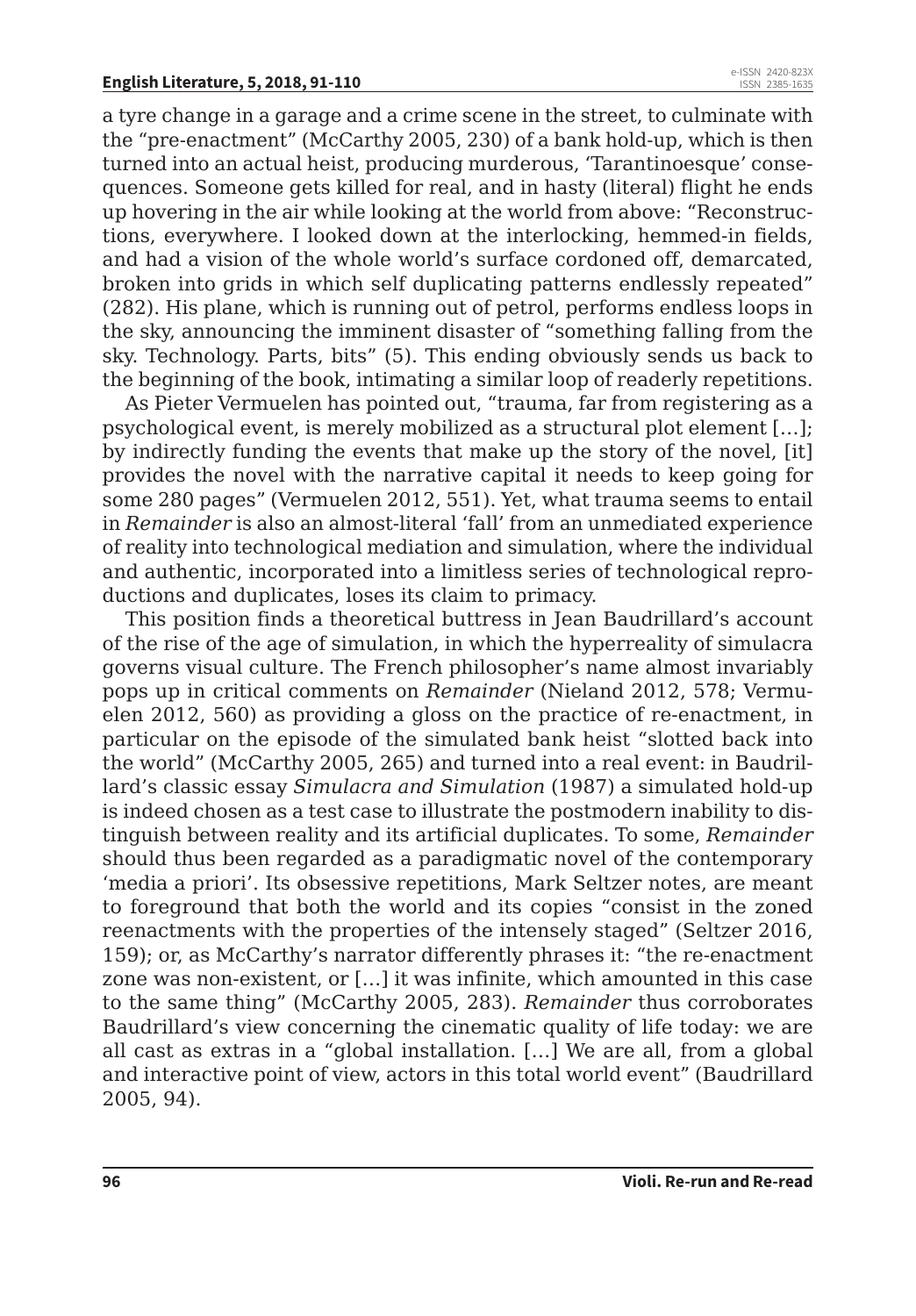a tyre change in a garage and a crime scene in the street, to culminate with the "pre-enactment" (McCarthy 2005, 230) of a bank hold-up, which is then turned into an actual heist, producing murderous, 'Tarantinoesque' consequences. Someone gets killed for real, and in hasty (literal) flight he ends up hovering in the air while looking at the world from above: "Reconstructions, everywhere. I looked down at the interlocking, hemmed-in fields, and had a vision of the whole world's surface cordoned off, demarcated, broken into grids in which self duplicating patterns endlessly repeated" (282). His plane, which is running out of petrol, performs endless loops in the sky, announcing the imminent disaster of "something falling from the sky. Technology. Parts, bits" (5). This ending obviously sends us back to the beginning of the book, intimating a similar loop of readerly repetitions.

As Pieter Vermuelen has pointed out, "trauma, far from registering as a psychological event, is merely mobilized as a structural plot element […]; by indirectly funding the events that make up the story of the novel, [it] provides the novel with the narrative capital it needs to keep going for some 280 pages" (Vermuelen 2012, 551). Yet, what trauma seems to entail in *Remainder* is also an almost-literal 'fall' from an unmediated experience of reality into technological mediation and simulation, where the individual and authentic, incorporated into a limitless series of technological reproductions and duplicates, loses its claim to primacy.

This position finds a theoretical buttress in Jean Baudrillard's account of the rise of the age of simulation, in which the hyperreality of simulacra governs visual culture. The French philosopher's name almost invariably pops up in critical comments on *Remainder* (Nieland 2012, 578; Vermuelen 2012, 560) as providing a gloss on the practice of re-enactment, in particular on the episode of the simulated bank heist "slotted back into the world" (McCarthy 2005, 265) and turned into a real event: in Baudrillard's classic essay *Simulacra and Simulation* (1987) a simulated hold-up is indeed chosen as a test case to illustrate the postmodern inability to distinguish between reality and its artificial duplicates. To some, *Remainder*  should thus been regarded as a paradigmatic novel of the contemporary 'media a priori'. Its obsessive repetitions, Mark Seltzer notes, are meant to foreground that both the world and its copies "consist in the zoned reenactments with the properties of the intensely staged" (Seltzer 2016, 159); or, as McCarthy's narrator differently phrases it: "the re-enactment zone was non-existent, or […] it was infinite, which amounted in this case to the same thing" (McCarthy 2005, 283). *Remainder* thus corroborates Baudrillard's view concerning the cinematic quality of life today: we are all cast as extras in a "global installation. […] We are all, from a global and interactive point of view, actors in this total world event" (Baudrillard 2005, 94).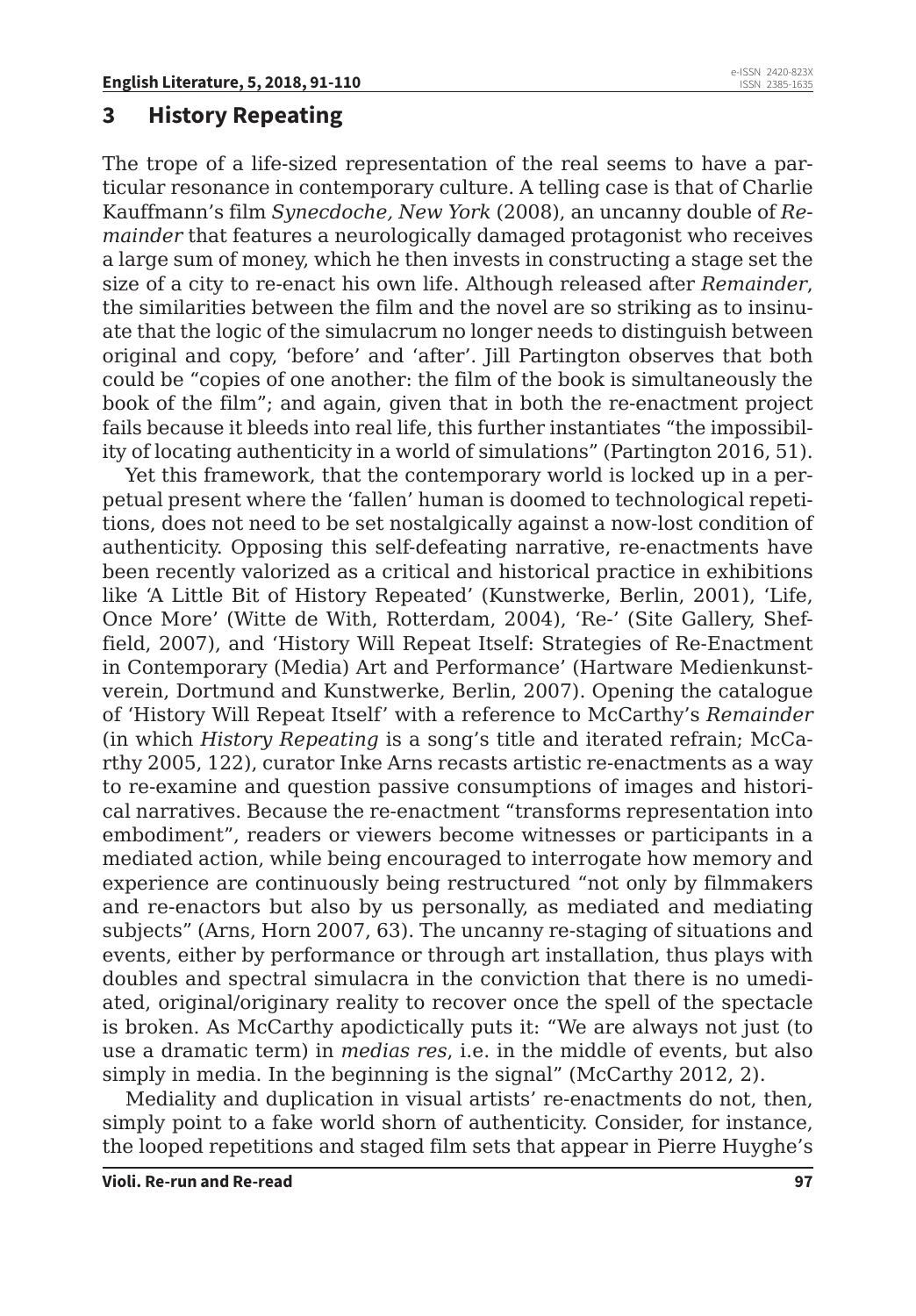#### **3 History Repeating**

The trope of a life-sized representation of the real seems to have a particular resonance in contemporary culture. A telling case is that of Charlie Kauffmann's film *Synecdoche, New York* (2008), an uncanny double of *Remainder* that features a neurologically damaged protagonist who receives a large sum of money, which he then invests in constructing a stage set the size of a city to re-enact his own life. Although released after *Remainder*, the similarities between the film and the novel are so striking as to insinuate that the logic of the simulacrum no longer needs to distinguish between original and copy, 'before' and 'after'. Jill Partington observes that both could be "copies of one another: the film of the book is simultaneously the book of the film"; and again, given that in both the re-enactment project fails because it bleeds into real life, this further instantiates "the impossibility of locating authenticity in a world of simulations" (Partington 2016, 51).

Yet this framework, that the contemporary world is locked up in a perpetual present where the 'fallen' human is doomed to technological repetitions, does not need to be set nostalgically against a now-lost condition of authenticity. Opposing this self-defeating narrative, re-enactments have been recently valorized as a critical and historical practice in exhibitions like 'A Little Bit of History Repeated' (Kunstwerke, Berlin, 2001), 'Life, Once More' (Witte de With, Rotterdam, 2004), 'Re-' (Site Gallery, Sheffield, 2007), and 'History Will Repeat Itself: Strategies of Re-Enactment in Contemporary (Media) Art and Performance' (Hartware Medienkunstverein, Dortmund and Kunstwerke, Berlin, 2007). Opening the catalogue of 'History Will Repeat Itself' with a reference to McCarthy's *Remainder* (in which *History Repeating* is a song's title and iterated refrain; McCarthy 2005, 122), curator Inke Arns recasts artistic re-enactments as a way to re-examine and question passive consumptions of images and historical narratives. Because the re-enactment "transforms representation into embodiment", readers or viewers become witnesses or participants in a mediated action, while being encouraged to interrogate how memory and experience are continuously being restructured "not only by filmmakers and re-enactors but also by us personally, as mediated and mediating subjects" (Arns, Horn 2007, 63). The uncanny re-staging of situations and events, either by performance or through art installation, thus plays with doubles and spectral simulacra in the conviction that there is no umediated, original/originary reality to recover once the spell of the spectacle is broken. As McCarthy apodictically puts it: "We are always not just (to use a dramatic term) in *medias res*, i.e. in the middle of events, but also simply in media. In the beginning is the signal" (McCarthy 2012, 2).

Mediality and duplication in visual artists' re-enactments do not, then, simply point to a fake world shorn of authenticity. Consider, for instance, the looped repetitions and staged film sets that appear in Pierre Huyghe's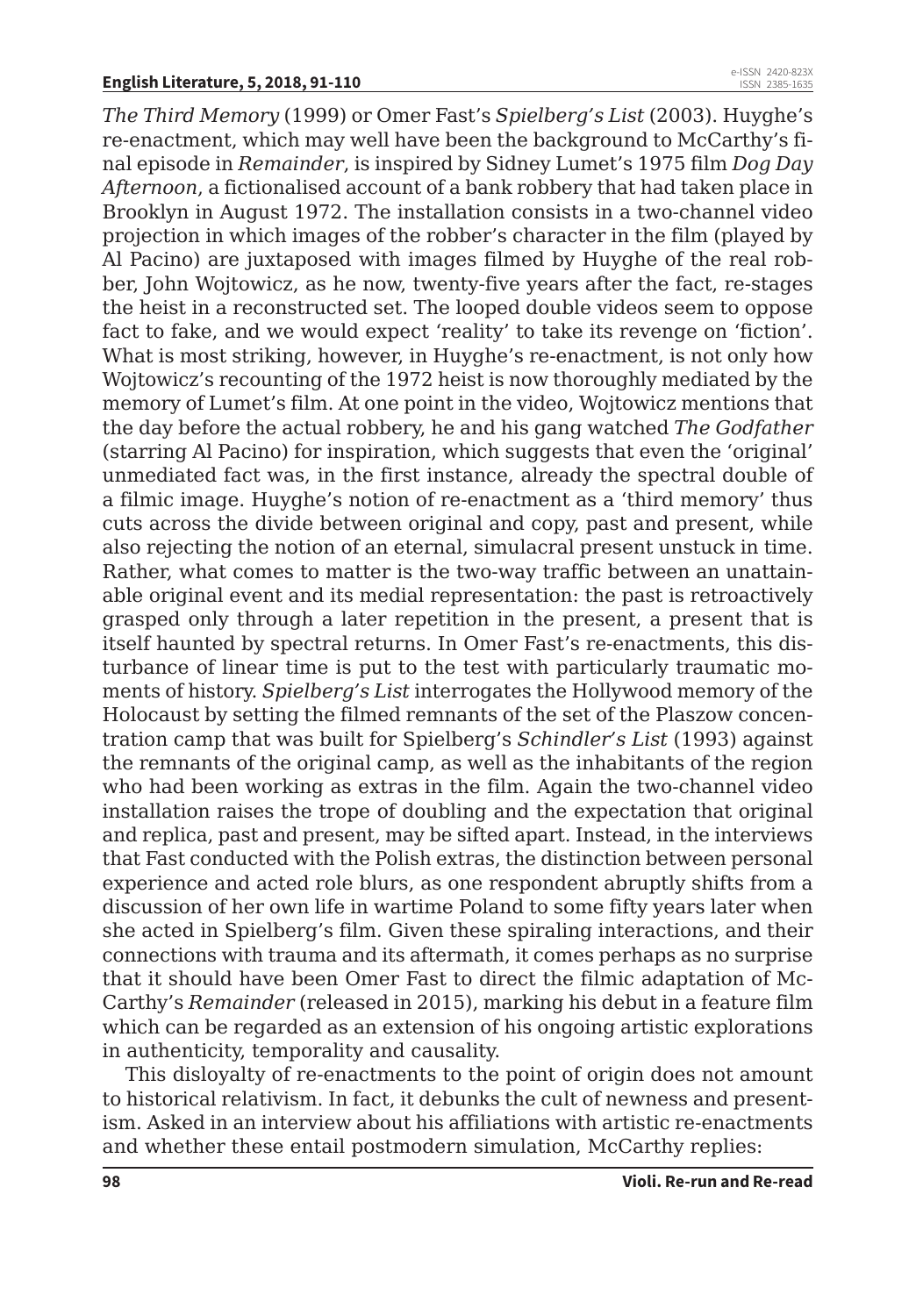*The Third Memory* (1999) or Omer Fast's *Spielberg's List* (2003). Huyghe's re-enactment, which may well have been the background to McCarthy's final episode in *Remainder*, is inspired by Sidney Lumet's 1975 film *Dog Day Afternoon*, a fictionalised account of a bank robbery that had taken place in Brooklyn in August 1972. The installation consists in a two-channel video projection in which images of the robber's character in the film (played by Al Pacino) are juxtaposed with images filmed by Huyghe of the real robber, John Wojtowicz, as he now, twenty-five years after the fact, re-stages the heist in a reconstructed set. The looped double videos seem to oppose fact to fake, and we would expect 'reality' to take its revenge on 'fiction'. What is most striking, however, in Huyghe's re-enactment, is not only how Wojtowicz's recounting of the 1972 heist is now thoroughly mediated by the memory of Lumet's film. At one point in the video, Wojtowicz mentions that the day before the actual robbery, he and his gang watched *The Godfather* (starring Al Pacino) for inspiration, which suggests that even the 'original' unmediated fact was, in the first instance, already the spectral double of a filmic image. Huyghe's notion of re-enactment as a 'third memory' thus cuts across the divide between original and copy, past and present, while also rejecting the notion of an eternal, simulacral present unstuck in time. Rather, what comes to matter is the two-way traffic between an unattainable original event and its medial representation: the past is retroactively grasped only through a later repetition in the present, a present that is itself haunted by spectral returns. In Omer Fast's re-enactments, this disturbance of linear time is put to the test with particularly traumatic moments of history. *Spielberg's List* interrogates the Hollywood memory of the Holocaust by setting the filmed remnants of the set of the Plaszow concentration camp that was built for Spielberg's *Schindler's List* (1993) against the remnants of the original camp, as well as the inhabitants of the region who had been working as extras in the film. Again the two-channel video installation raises the trope of doubling and the expectation that original and replica, past and present, may be sifted apart. Instead, in the interviews that Fast conducted with the Polish extras, the distinction between personal experience and acted role blurs, as one respondent abruptly shifts from a discussion of her own life in wartime Poland to some fifty years later when she acted in Spielberg's film. Given these spiraling interactions, and their connections with trauma and its aftermath, it comes perhaps as no surprise that it should have been Omer Fast to direct the filmic adaptation of Mc-Carthy's *Remainder* (released in 2015), marking his debut in a feature film which can be regarded as an extension of his ongoing artistic explorations in authenticity, temporality and causality.

This disloyalty of re-enactments to the point of origin does not amount to historical relativism. In fact, it debunks the cult of newness and presentism. Asked in an interview about his affiliations with artistic re-enactments and whether these entail postmodern simulation, McCarthy replies: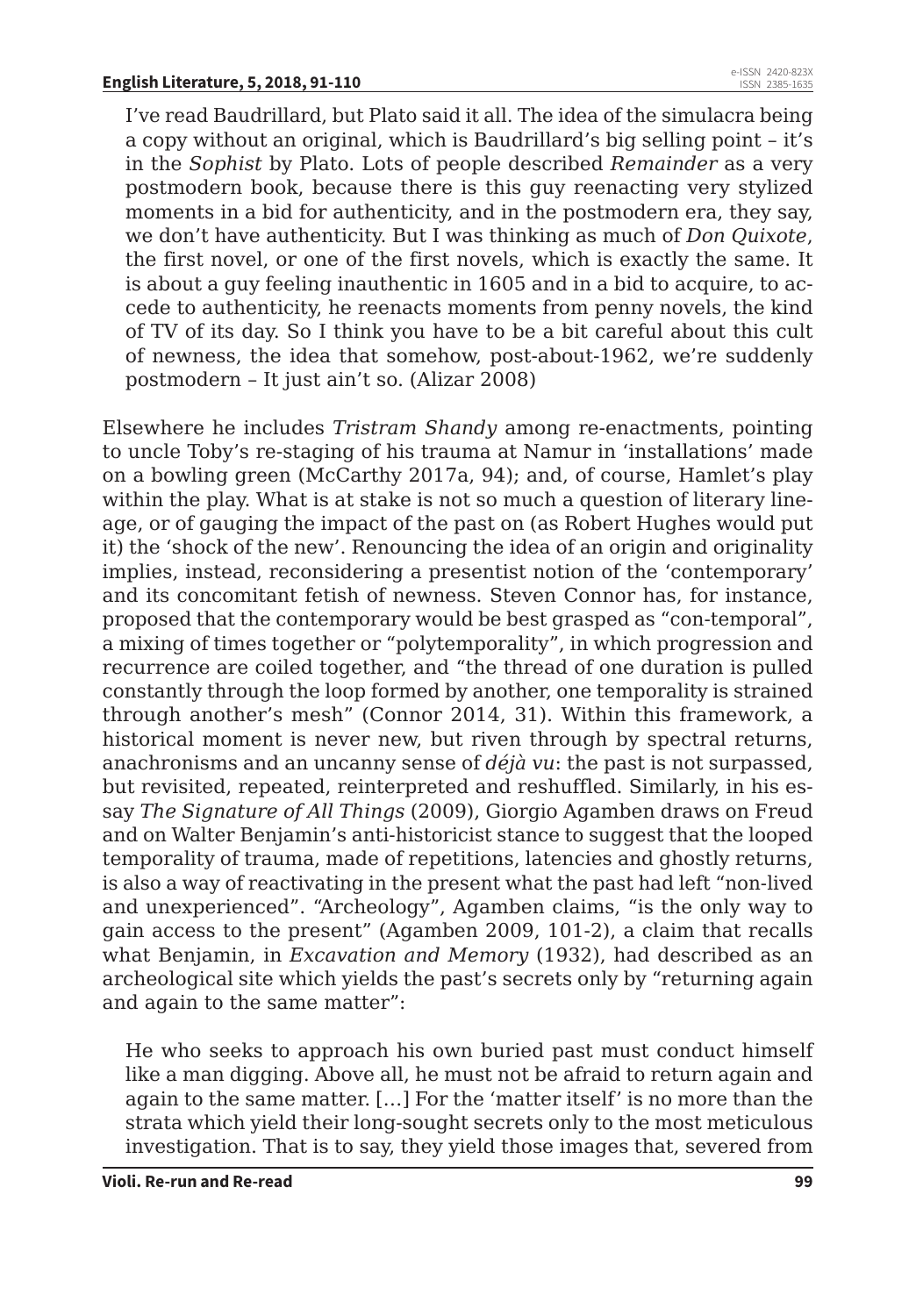I've read Baudrillard, but Plato said it all. The idea of the simulacra being a copy without an original, which is Baudrillard's big selling point – it's in the *Sophist* by Plato. Lots of people described *Remainder* as a very postmodern book, because there is this guy reenacting very stylized moments in a bid for authenticity, and in the postmodern era, they say, we don't have authenticity. But I was thinking as much of *Don Quixote*, the first novel, or one of the first novels, which is exactly the same. It is about a guy feeling inauthentic in 1605 and in a bid to acquire, to accede to authenticity, he reenacts moments from penny novels, the kind of TV of its day. So I think you have to be a bit careful about this cult of newness, the idea that somehow, post-about-1962, we're suddenly postmodern – It just ain't so. (Alizar 2008)

Elsewhere he includes *Tristram Shandy* among re-enactments, pointing to uncle Toby's re-staging of his trauma at Namur in 'installations' made on a bowling green (McCarthy 2017a, 94); and, of course, Hamlet's play within the play. What is at stake is not so much a question of literary lineage, or of gauging the impact of the past on (as Robert Hughes would put it) the 'shock of the new'. Renouncing the idea of an origin and originality implies, instead, reconsidering a presentist notion of the 'contemporary' and its concomitant fetish of newness. Steven Connor has, for instance, proposed that the contemporary would be best grasped as "con-temporal", a mixing of times together or "polytemporality", in which progression and recurrence are coiled together, and "the thread of one duration is pulled constantly through the loop formed by another, one temporality is strained through another's mesh" (Connor 2014, 31). Within this framework, a historical moment is never new, but riven through by spectral returns, anachronisms and an uncanny sense of *déjà vu*: the past is not surpassed, but revisited, repeated, reinterpreted and reshuffled. Similarly, in his essay *The Signature of All Things* (2009), Giorgio Agamben draws on Freud and on Walter Benjamin's anti-historicist stance to suggest that the looped temporality of trauma, made of repetitions, latencies and ghostly returns, is also a way of reactivating in the present what the past had left "non-lived and unexperienced". "Archeology", Agamben claims, "is the only way to gain access to the present" (Agamben 2009, 101-2), a claim that recalls what Benjamin, in *Excavation and Memory* (1932), had described as an archeological site which yields the past's secrets only by "returning again and again to the same matter":

He who seeks to approach his own buried past must conduct himself like a man digging. Above all, he must not be afraid to return again and again to the same matter. […] For the 'matter itself' is no more than the strata which yield their long-sought secrets only to the most meticulous investigation. That is to say, they yield those images that, severed from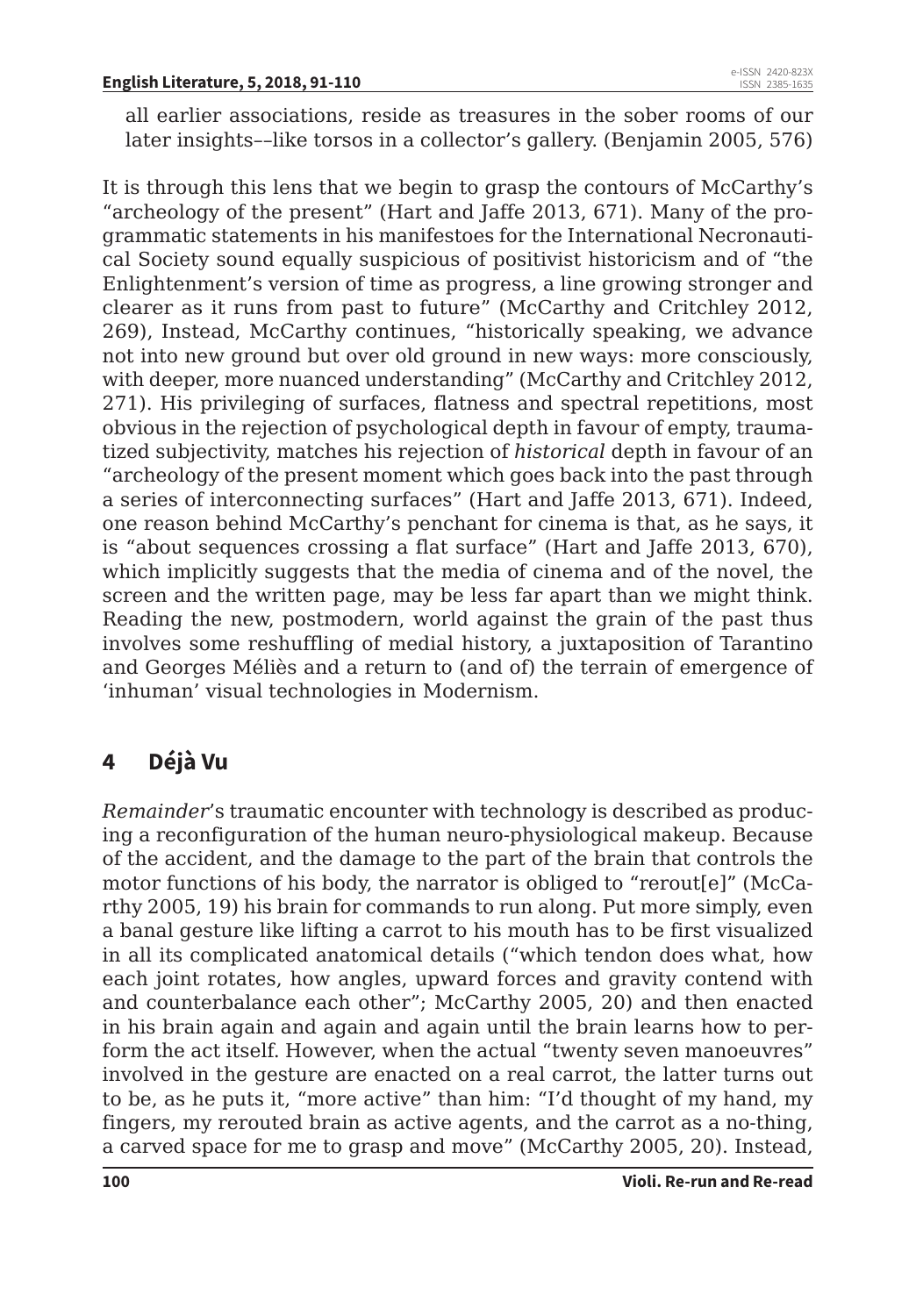all earlier associations, reside as treasures in the sober rooms of our later insights––like torsos in a collector's gallery. (Benjamin 2005, 576)

It is through this lens that we begin to grasp the contours of McCarthy's "archeology of the present" (Hart and Jaffe 2013, 671). Many of the programmatic statements in his manifestoes for the International Necronautical Society sound equally suspicious of positivist historicism and of "the Enlightenment's version of time as progress, a line growing stronger and clearer as it runs from past to future" (McCarthy and Critchley 2012, 269), Instead, McCarthy continues, "historically speaking, we advance not into new ground but over old ground in new ways: more consciously, with deeper, more nuanced understanding" (McCarthy and Critchley 2012, 271). His privileging of surfaces, flatness and spectral repetitions, most obvious in the rejection of psychological depth in favour of empty, traumatized subjectivity, matches his rejection of *historical* depth in favour of an "archeology of the present moment which goes back into the past through a series of interconnecting surfaces" (Hart and Jaffe 2013, 671). Indeed, one reason behind McCarthy's penchant for cinema is that, as he says, it is "about sequences crossing a flat surface" (Hart and Jaffe 2013, 670), which implicitly suggests that the media of cinema and of the novel, the screen and the written page, may be less far apart than we might think. Reading the new, postmodern, world against the grain of the past thus involves some reshuffling of medial history, a juxtaposition of Tarantino and Georges Méliès and a return to (and of) the terrain of emergence of 'inhuman' visual technologies in Modernism.

## **4 Déjà Vu**

*Remainder*'s traumatic encounter with technology is described as producing a reconfiguration of the human neuro-physiological makeup. Because of the accident, and the damage to the part of the brain that controls the motor functions of his body, the narrator is obliged to "rerout[e]" (McCarthy 2005, 19) his brain for commands to run along. Put more simply, even a banal gesture like lifting a carrot to his mouth has to be first visualized in all its complicated anatomical details ("which tendon does what, how each joint rotates, how angles, upward forces and gravity contend with and counterbalance each other"; McCarthy 2005, 20) and then enacted in his brain again and again and again until the brain learns how to perform the act itself. However, when the actual "twenty seven manoeuvres" involved in the gesture are enacted on a real carrot, the latter turns out to be, as he puts it, "more active" than him: "I'd thought of my hand, my fingers, my rerouted brain as active agents, and the carrot as a no-thing, a carved space for me to grasp and move" (McCarthy 2005, 20). Instead,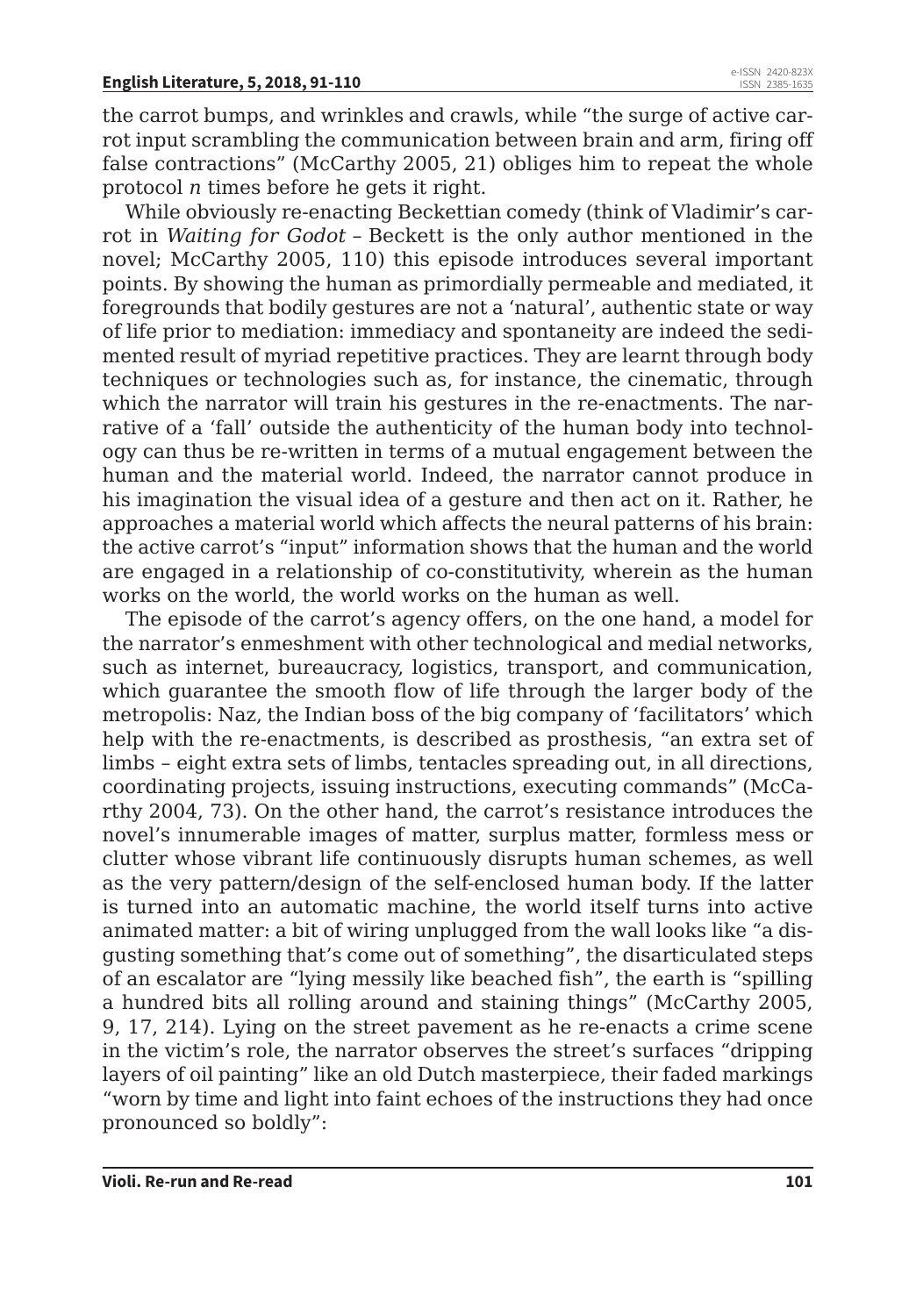the carrot bumps, and wrinkles and crawls, while "the surge of active carrot input scrambling the communication between brain and arm, firing off false contractions" (McCarthy 2005, 21) obliges him to repeat the whole protocol *n* times before he gets it right.

While obviously re-enacting Beckettian comedy (think of Vladimir's carrot in *Waiting for Godot* – Beckett is the only author mentioned in the novel; McCarthy 2005, 110) this episode introduces several important points. By showing the human as primordially permeable and mediated, it foregrounds that bodily gestures are not a 'natural', authentic state or way of life prior to mediation: immediacy and spontaneity are indeed the sedimented result of myriad repetitive practices. They are learnt through body techniques or technologies such as, for instance, the cinematic, through which the narrator will train his gestures in the re-enactments. The narrative of a 'fall' outside the authenticity of the human body into technology can thus be re-written in terms of a mutual engagement between the human and the material world. Indeed, the narrator cannot produce in his imagination the visual idea of a gesture and then act on it. Rather, he approaches a material world which affects the neural patterns of his brain: the active carrot's "input" information shows that the human and the world are engaged in a relationship of co-constitutivity, wherein as the human works on the world, the world works on the human as well.

The episode of the carrot's agency offers, on the one hand, a model for the narrator's enmeshment with other technological and medial networks, such as internet, bureaucracy, logistics, transport, and communication, which guarantee the smooth flow of life through the larger body of the metropolis: Naz, the Indian boss of the big company of 'facilitators' which help with the re-enactments, is described as prosthesis, "an extra set of limbs – eight extra sets of limbs, tentacles spreading out, in all directions, coordinating projects, issuing instructions, executing commands" (McCarthy 2004, 73). On the other hand, the carrot's resistance introduces the novel's innumerable images of matter, surplus matter, formless mess or clutter whose vibrant life continuously disrupts human schemes, as well as the very pattern/design of the self-enclosed human body. If the latter is turned into an automatic machine, the world itself turns into active animated matter: a bit of wiring unplugged from the wall looks like "a disgusting something that's come out of something", the disarticulated steps of an escalator are "lying messily like beached fish", the earth is "spilling a hundred bits all rolling around and staining things" (McCarthy 2005, 9, 17, 214). Lying on the street pavement as he re-enacts a crime scene in the victim's role, the narrator observes the street's surfaces "dripping layers of oil painting" like an old Dutch masterpiece, their faded markings "worn by time and light into faint echoes of the instructions they had once pronounced so boldly":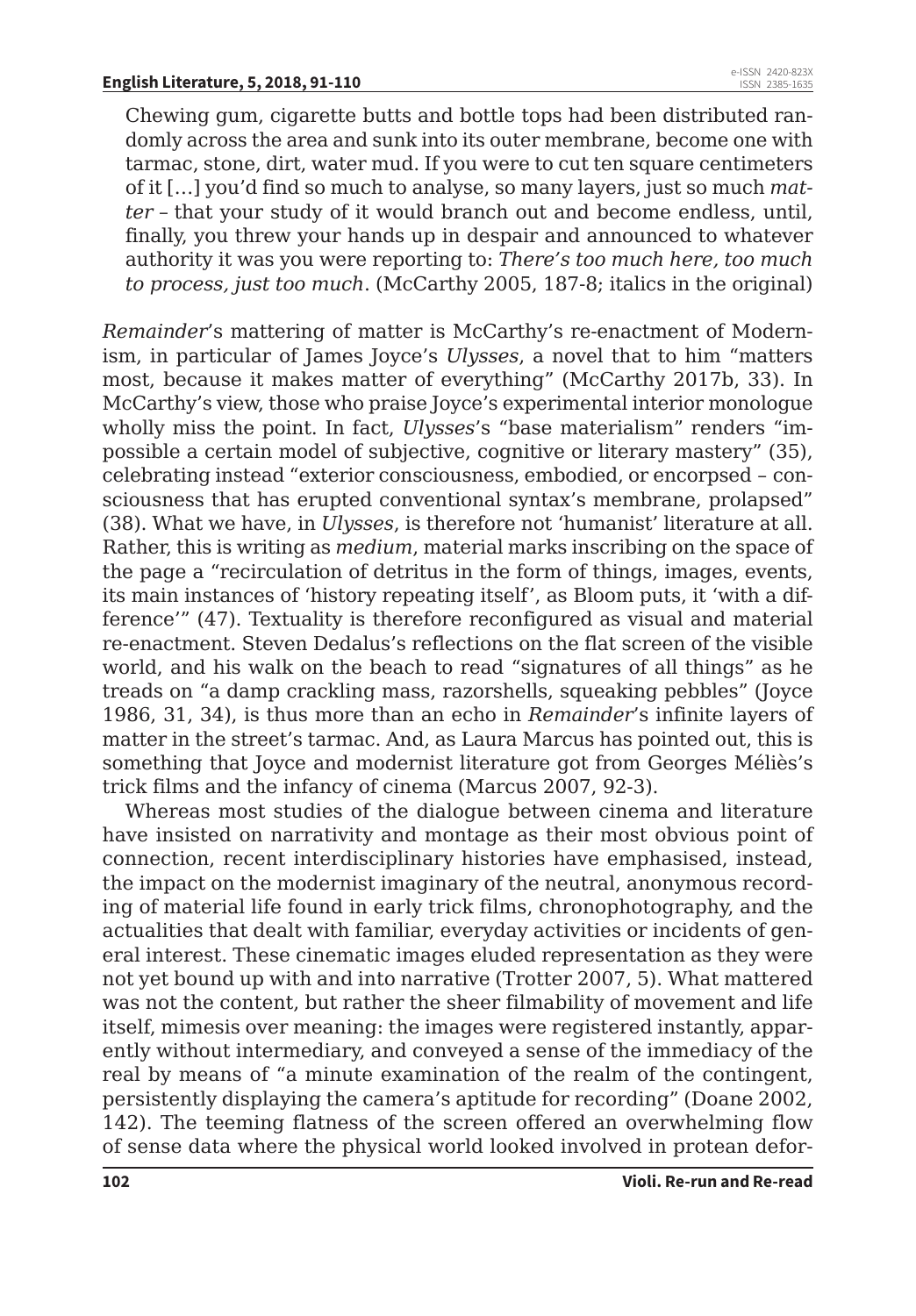Chewing gum, cigarette butts and bottle tops had been distributed randomly across the area and sunk into its outer membrane, become one with tarmac, stone, dirt, water mud. If you were to cut ten square centimeters of it […] you'd find so much to analyse, so many layers, just so much *matter* – that your study of it would branch out and become endless, until, finally, you threw your hands up in despair and announced to whatever authority it was you were reporting to: *There's too much here, too much to process, just too much*. (McCarthy 2005, 187-8; italics in the original)

*Remainder*'s mattering of matter is McCarthy's re-enactment of Modernism, in particular of James Joyce's *Ulysses*, a novel that to him "matters most, because it makes matter of everything" (McCarthy 2017b, 33). In McCarthy's view, those who praise Joyce's experimental interior monologue wholly miss the point. In fact, *Ulysses*'s "base materialism" renders "impossible a certain model of subjective, cognitive or literary mastery" (35), celebrating instead "exterior consciousness, embodied, or encorpsed – consciousness that has erupted conventional syntax's membrane, prolapsed" (38). What we have, in *Ulysses*, is therefore not 'humanist' literature at all. Rather, this is writing as *medium*, material marks inscribing on the space of the page a "recirculation of detritus in the form of things, images, events, its main instances of 'history repeating itself', as Bloom puts, it 'with a difference'" (47). Textuality is therefore reconfigured as visual and material re-enactment. Steven Dedalus's reflections on the flat screen of the visible world, and his walk on the beach to read "signatures of all things" as he treads on "a damp crackling mass, razorshells, squeaking pebbles" (Joyce 1986, 31, 34), is thus more than an echo in *Remainder*'s infinite layers of matter in the street's tarmac. And, as Laura Marcus has pointed out, this is something that Joyce and modernist literature got from Georges Méliès's trick films and the infancy of cinema (Marcus 2007, 92-3).

Whereas most studies of the dialogue between cinema and literature have insisted on narrativity and montage as their most obvious point of connection, recent interdisciplinary histories have emphasised, instead, the impact on the modernist imaginary of the neutral, anonymous recording of material life found in early trick films, chronophotography, and the actualities that dealt with familiar, everyday activities or incidents of general interest. These cinematic images eluded representation as they were not yet bound up with and into narrative (Trotter 2007, 5). What mattered was not the content, but rather the sheer filmability of movement and life itself, mimesis over meaning: the images were registered instantly, apparently without intermediary, and conveyed a sense of the immediacy of the real by means of "a minute examination of the realm of the contingent, persistently displaying the camera's aptitude for recording" (Doane 2002, 142). The teeming flatness of the screen offered an overwhelming flow of sense data where the physical world looked involved in protean defor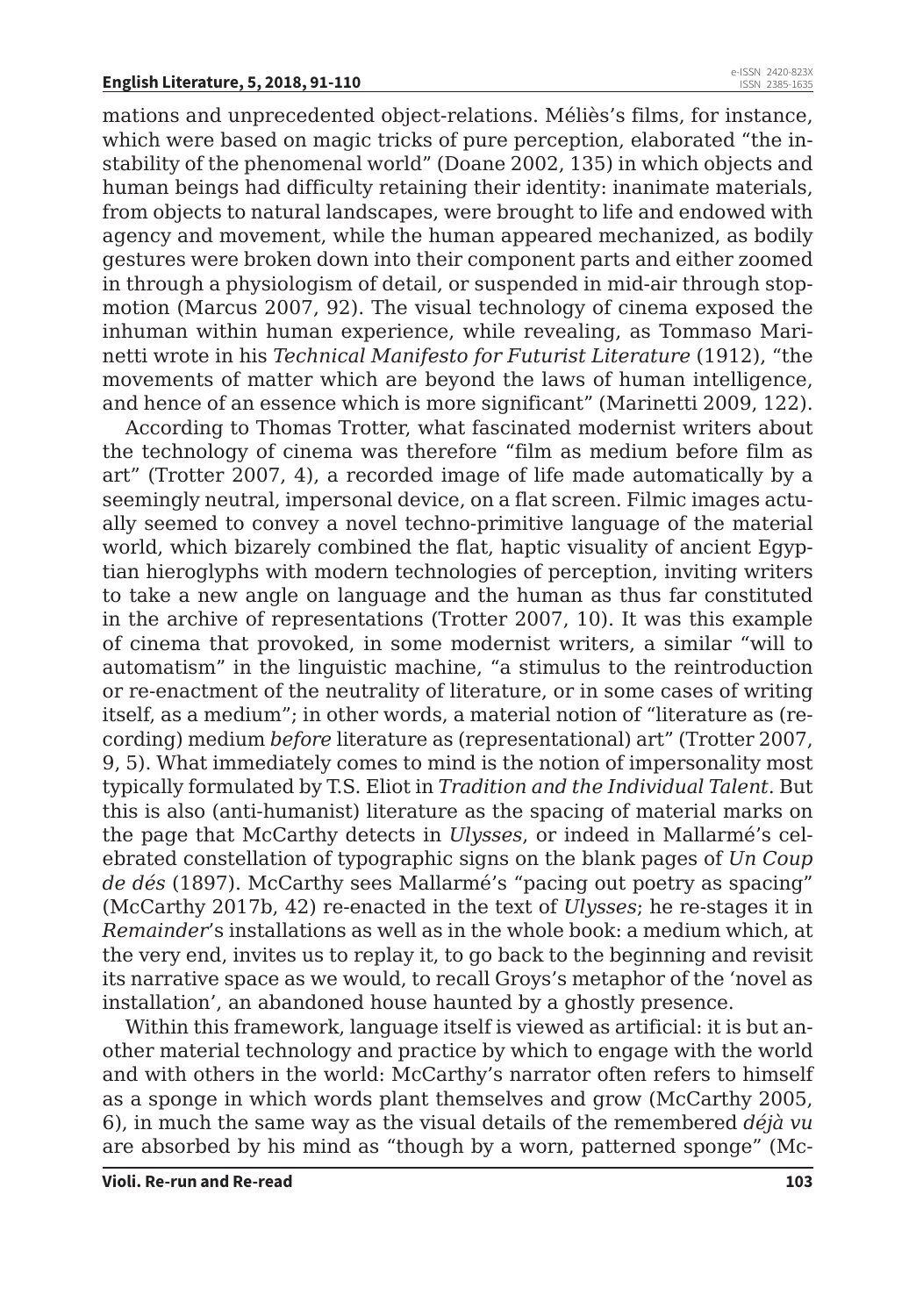mations and unprecedented object-relations. Méliès's films, for instance, which were based on magic tricks of pure perception, elaborated "the instability of the phenomenal world" (Doane 2002, 135) in which objects and human beings had difficulty retaining their identity: inanimate materials, from objects to natural landscapes, were brought to life and endowed with agency and movement, while the human appeared mechanized, as bodily gestures were broken down into their component parts and either zoomed in through a physiologism of detail, or suspended in mid-air through stopmotion (Marcus 2007, 92). The visual technology of cinema exposed the inhuman within human experience, while revealing, as Tommaso Marinetti wrote in his *Technical Manifesto for Futurist Literature* (1912), "the movements of matter which are beyond the laws of human intelligence, and hence of an essence which is more significant" (Marinetti 2009, 122).

According to Thomas Trotter, what fascinated modernist writers about the technology of cinema was therefore "film as medium before film as art" (Trotter 2007, 4), a recorded image of life made automatically by a seemingly neutral, impersonal device, on a flat screen. Filmic images actually seemed to convey a novel techno-primitive language of the material world, which bizarely combined the flat, haptic visuality of ancient Egyptian hieroglyphs with modern technologies of perception, inviting writers to take a new angle on language and the human as thus far constituted in the archive of representations (Trotter 2007, 10). It was this example of cinema that provoked, in some modernist writers, a similar "will to automatism" in the linguistic machine, "a stimulus to the reintroduction or re-enactment of the neutrality of literature, or in some cases of writing itself, as a medium"; in other words, a material notion of "literature as (recording) medium *before* literature as (representational) art" (Trotter 2007, 9, 5). What immediately comes to mind is the notion of impersonality most typically formulated by T.S. Eliot in *Tradition and the Individual Talent*. But this is also (anti-humanist) literature as the spacing of material marks on the page that McCarthy detects in *Ulysses*, or indeed in Mallarmé's celebrated constellation of typographic signs on the blank pages of *Un Coup de dés* (1897). McCarthy sees Mallarmé's "pacing out poetry as spacing" (McCarthy 2017b, 42) re-enacted in the text of *Ulysses*; he re-stages it in *Remainder*'s installations as well as in the whole book: a medium which, at the very end, invites us to replay it, to go back to the beginning and revisit its narrative space as we would, to recall Groys's metaphor of the 'novel as installation', an abandoned house haunted by a ghostly presence.

Within this framework, language itself is viewed as artificial: it is but another material technology and practice by which to engage with the world and with others in the world: McCarthy's narrator often refers to himself as a sponge in which words plant themselves and grow (McCarthy 2005, 6), in much the same way as the visual details of the remembered *déjà vu* are absorbed by his mind as "though by a worn, patterned sponge" (Mc-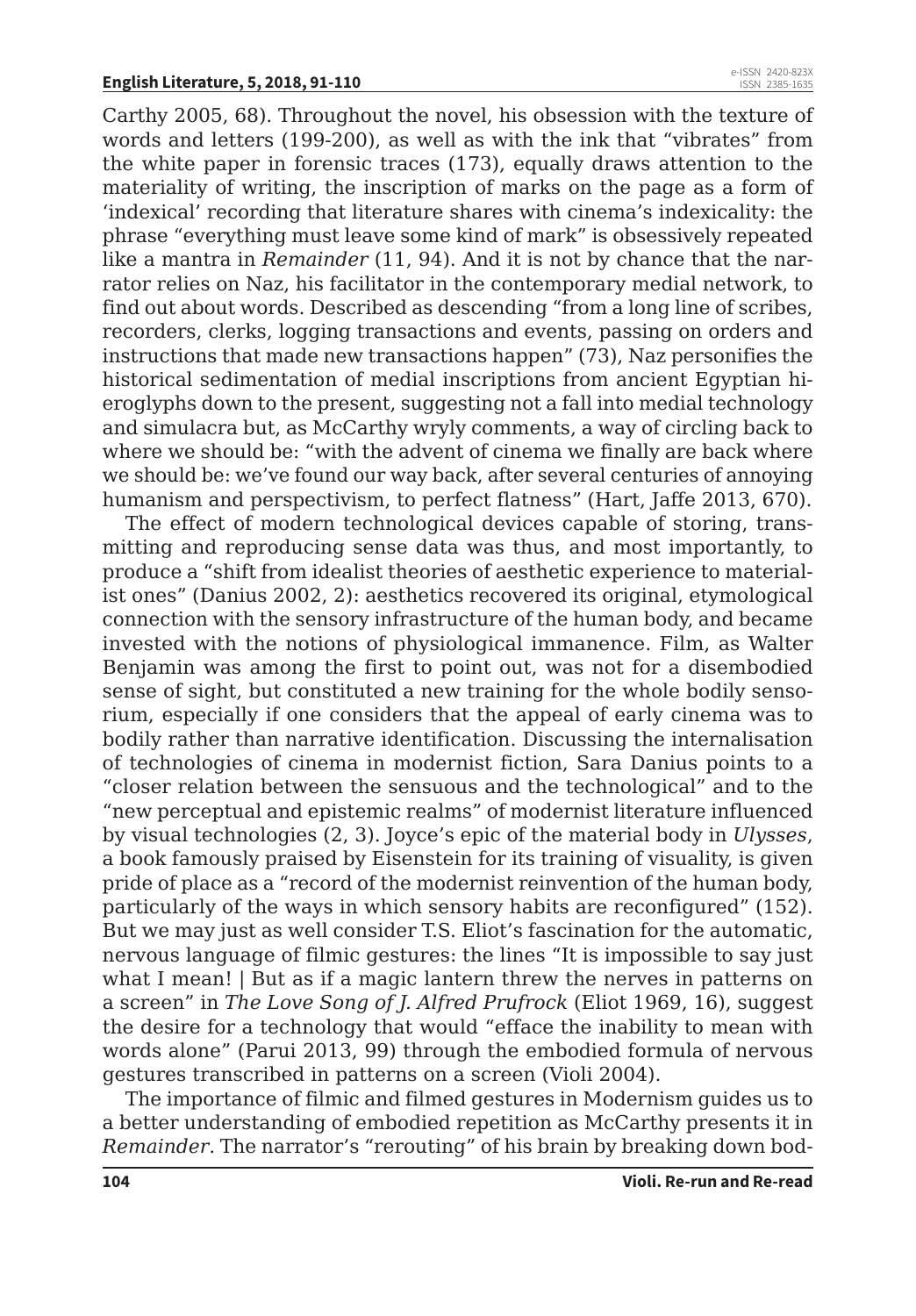Carthy 2005, 68). Throughout the novel, his obsession with the texture of words and letters (199-200), as well as with the ink that "vibrates" from the white paper in forensic traces (173), equally draws attention to the materiality of writing, the inscription of marks on the page as a form of 'indexical' recording that literature shares with cinema's indexicality: the phrase "everything must leave some kind of mark" is obsessively repeated like a mantra in *Remainder* (11, 94). And it is not by chance that the narrator relies on Naz, his facilitator in the contemporary medial network, to find out about words. Described as descending "from a long line of scribes, recorders, clerks, logging transactions and events, passing on orders and instructions that made new transactions happen" (73), Naz personifies the historical sedimentation of medial inscriptions from ancient Egyptian hieroglyphs down to the present, suggesting not a fall into medial technology and simulacra but, as McCarthy wryly comments, a way of circling back to where we should be: "with the advent of cinema we finally are back where we should be: we've found our way back, after several centuries of annoying humanism and perspectivism, to perfect flatness" (Hart, Jaffe 2013, 670).

The effect of modern technological devices capable of storing, transmitting and reproducing sense data was thus, and most importantly, to produce a "shift from idealist theories of aesthetic experience to materialist ones" (Danius 2002, 2): aesthetics recovered its original, etymological connection with the sensory infrastructure of the human body, and became invested with the notions of physiological immanence. Film, as Walter Benjamin was among the first to point out, was not for a disembodied sense of sight, but constituted a new training for the whole bodily sensorium, especially if one considers that the appeal of early cinema was to bodily rather than narrative identification. Discussing the internalisation of technologies of cinema in modernist fiction, Sara Danius points to a "closer relation between the sensuous and the technological" and to the "new perceptual and epistemic realms" of modernist literature influenced by visual technologies (2, 3). Joyce's epic of the material body in *Ulysses*, a book famously praised by Eisenstein for its training of visuality, is given pride of place as a "record of the modernist reinvention of the human body, particularly of the ways in which sensory habits are reconfigured" (152). But we may just as well consider T.S. Eliot's fascination for the automatic, nervous language of filmic gestures: the lines "It is impossible to say just what I mean! | But as if a magic lantern threw the nerves in patterns on a screen" in *The Love Song of J. Alfred Prufrock* (Eliot 1969, 16), suggest the desire for a technology that would "efface the inability to mean with words alone" (Parui 2013, 99) through the embodied formula of nervous gestures transcribed in patterns on a screen (Violi 2004).

The importance of filmic and filmed gestures in Modernism guides us to a better understanding of embodied repetition as McCarthy presents it in *Remainder*. The narrator's "rerouting" of his brain by breaking down bod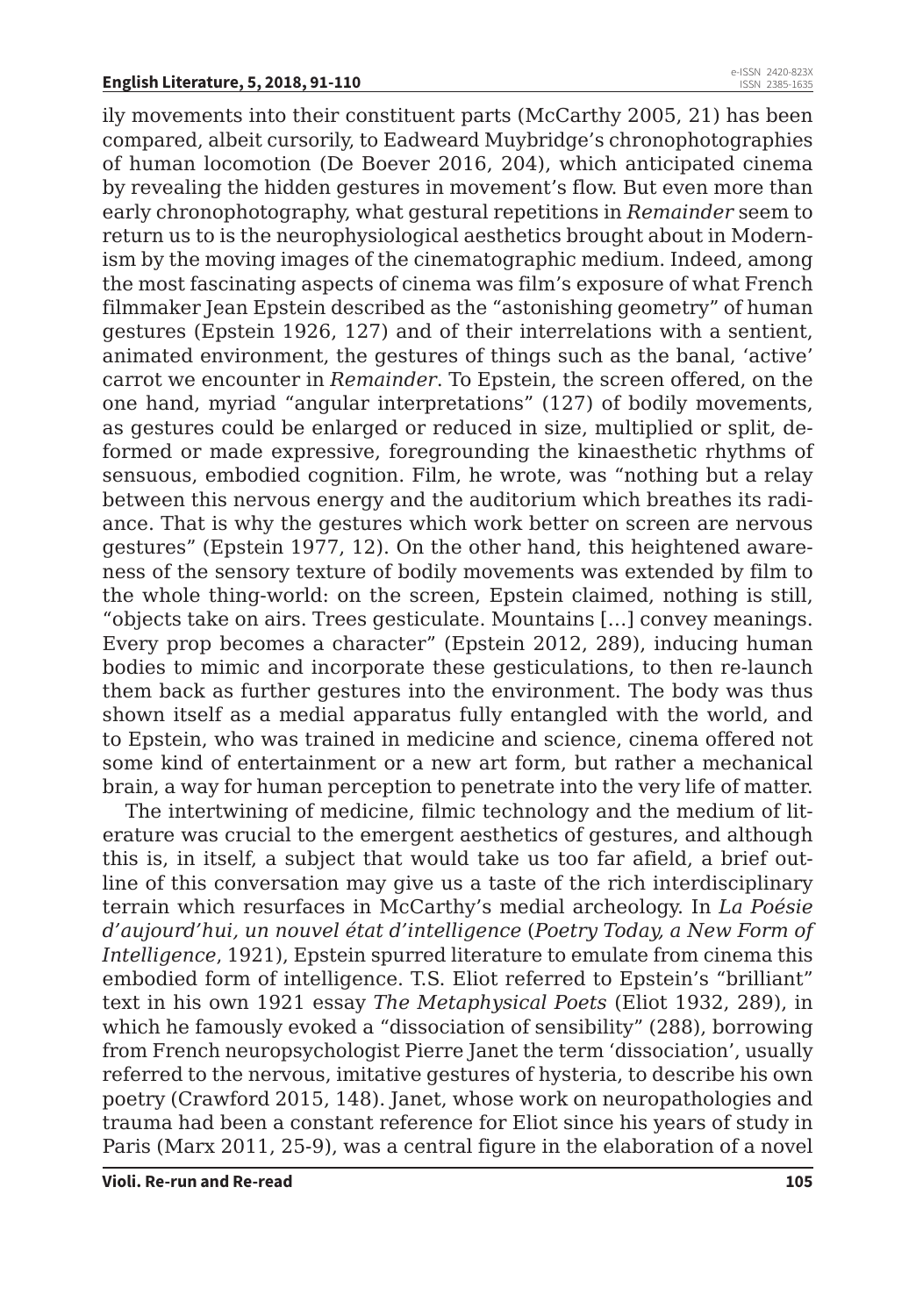ily movements into their constituent parts (McCarthy 2005, 21) has been compared, albeit cursorily, to Eadweard Muybridge's chronophotographies of human locomotion (De Boever 2016, 204), which anticipated cinema by revealing the hidden gestures in movement's flow. But even more than early chronophotography, what gestural repetitions in *Remainder* seem to return us to is the neurophysiological aesthetics brought about in Modernism by the moving images of the cinematographic medium. Indeed, among the most fascinating aspects of cinema was film's exposure of what French filmmaker Jean Epstein described as the "astonishing geometry" of human gestures (Epstein 1926, 127) and of their interrelations with a sentient, animated environment, the gestures of things such as the banal, 'active' carrot we encounter in *Remainder*. To Epstein, the screen offered, on the one hand, myriad "angular interpretations" (127) of bodily movements, as gestures could be enlarged or reduced in size, multiplied or split, deformed or made expressive, foregrounding the kinaesthetic rhythms of sensuous, embodied cognition. Film, he wrote, was "nothing but a relay between this nervous energy and the auditorium which breathes its radiance. That is why the gestures which work better on screen are nervous gestures" (Epstein 1977, 12). On the other hand, this heightened awareness of the sensory texture of bodily movements was extended by film to the whole thing-world: on the screen, Epstein claimed, nothing is still, "objects take on airs. Trees gesticulate. Mountains […] convey meanings. Every prop becomes a character" (Epstein 2012, 289), inducing human bodies to mimic and incorporate these gesticulations, to then re-launch them back as further gestures into the environment. The body was thus shown itself as a medial apparatus fully entangled with the world, and to Epstein, who was trained in medicine and science, cinema offered not some kind of entertainment or a new art form, but rather a mechanical brain, a way for human perception to penetrate into the very life of matter.

The intertwining of medicine, filmic technology and the medium of literature was crucial to the emergent aesthetics of gestures, and although this is, in itself, a subject that would take us too far afield, a brief outline of this conversation may give us a taste of the rich interdisciplinary terrain which resurfaces in McCarthy's medial archeology. In *La Poésie d'aujourd'hui, un nouvel état d'intelligence* (*Poetry Today, a New Form of Intelligence*, 1921), Epstein spurred literature to emulate from cinema this embodied form of intelligence. T.S. Eliot referred to Epstein's "brilliant" text in his own 1921 essay *The Metaphysical Poets* (Eliot 1932, 289), in which he famously evoked a "dissociation of sensibility" (288), borrowing from French neuropsychologist Pierre Janet the term 'dissociation', usually referred to the nervous, imitative gestures of hysteria, to describe his own poetry (Crawford 2015, 148). Janet, whose work on neuropathologies and trauma had been a constant reference for Eliot since his years of study in Paris (Marx 2011, 25-9), was a central figure in the elaboration of a novel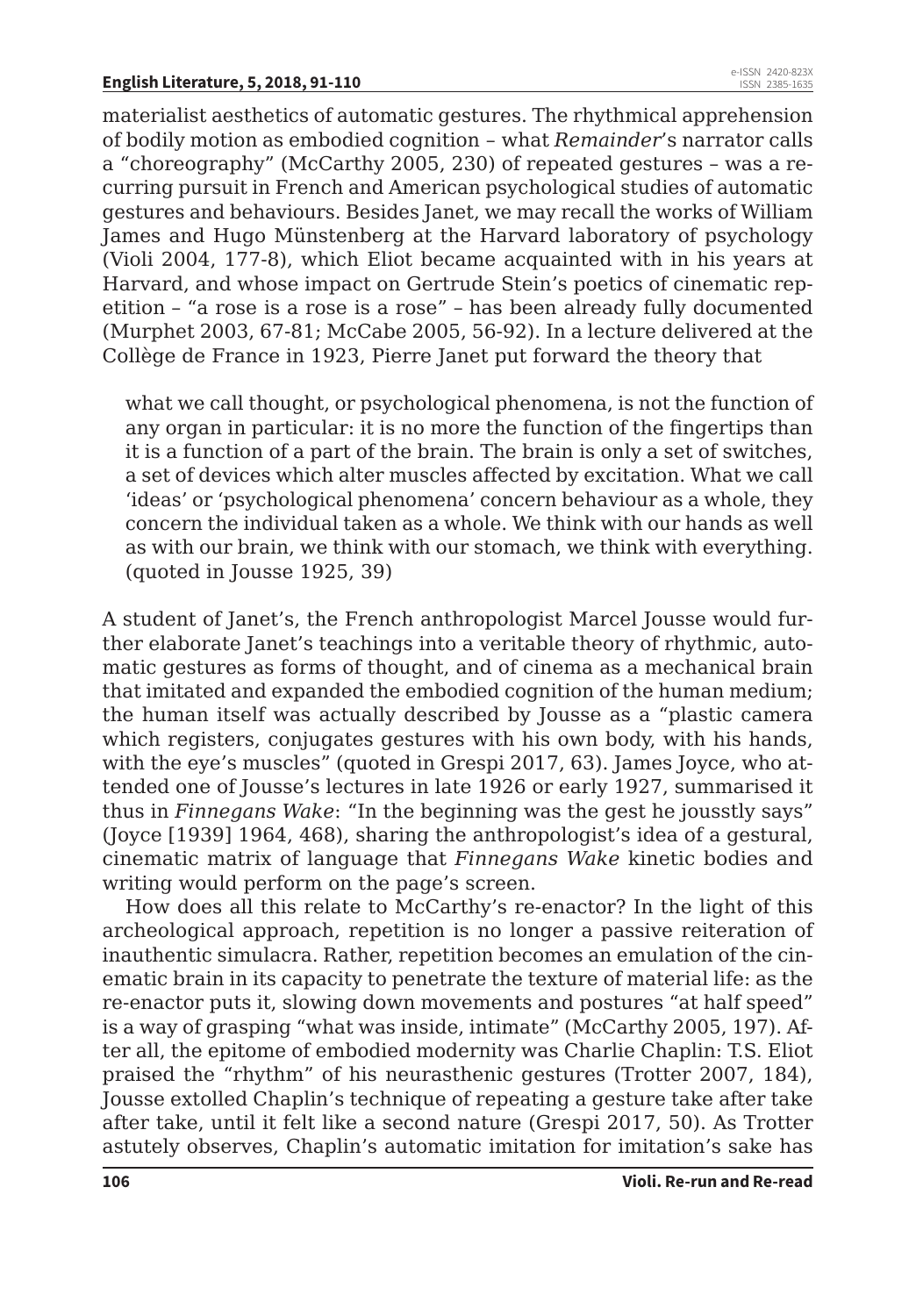materialist aesthetics of automatic gestures. The rhythmical apprehension of bodily motion as embodied cognition – what *Remainder*'s narrator calls a "choreography" (McCarthy 2005, 230) of repeated gestures – was a recurring pursuit in French and American psychological studies of automatic gestures and behaviours. Besides Janet, we may recall the works of William James and Hugo Münstenberg at the Harvard laboratory of psychology (Violi 2004, 177-8), which Eliot became acquainted with in his years at Harvard, and whose impact on Gertrude Stein's poetics of cinematic repetition – "a rose is a rose is a rose" – has been already fully documented (Murphet 2003, 67-81; McCabe 2005, 56-92). In a lecture delivered at the Collège de France in 1923, Pierre Janet put forward the theory that

what we call thought, or psychological phenomena, is not the function of any organ in particular: it is no more the function of the fingertips than it is a function of a part of the brain. The brain is only a set of switches, a set of devices which alter muscles affected by excitation. What we call 'ideas' or 'psychological phenomena' concern behaviour as a whole, they concern the individual taken as a whole. We think with our hands as well as with our brain, we think with our stomach, we think with everything. (quoted in Jousse 1925, 39)

A student of Janet's, the French anthropologist Marcel Jousse would further elaborate Janet's teachings into a veritable theory of rhythmic, automatic gestures as forms of thought, and of cinema as a mechanical brain that imitated and expanded the embodied cognition of the human medium; the human itself was actually described by Jousse as a "plastic camera which registers, conjugates gestures with his own body, with his hands, with the eye's muscles" (quoted in Grespi 2017, 63). James Joyce, who attended one of Jousse's lectures in late 1926 or early 1927, summarised it thus in *Finnegans Wake*: "In the beginning was the gest he jousstly says" (Joyce [1939] 1964, 468), sharing the anthropologist's idea of a gestural, cinematic matrix of language that *Finnegans Wake* kinetic bodies and writing would perform on the page's screen.

How does all this relate to McCarthy's re-enactor? In the light of this archeological approach, repetition is no longer a passive reiteration of inauthentic simulacra. Rather, repetition becomes an emulation of the cinematic brain in its capacity to penetrate the texture of material life: as the re-enactor puts it, slowing down movements and postures "at half speed" is a way of grasping "what was inside, intimate" (McCarthy 2005, 197). After all, the epitome of embodied modernity was Charlie Chaplin: T.S. Eliot praised the "rhythm" of his neurasthenic gestures (Trotter 2007, 184), Jousse extolled Chaplin's technique of repeating a gesture take after take after take, until it felt like a second nature (Grespi 2017, 50). As Trotter astutely observes, Chaplin's automatic imitation for imitation's sake has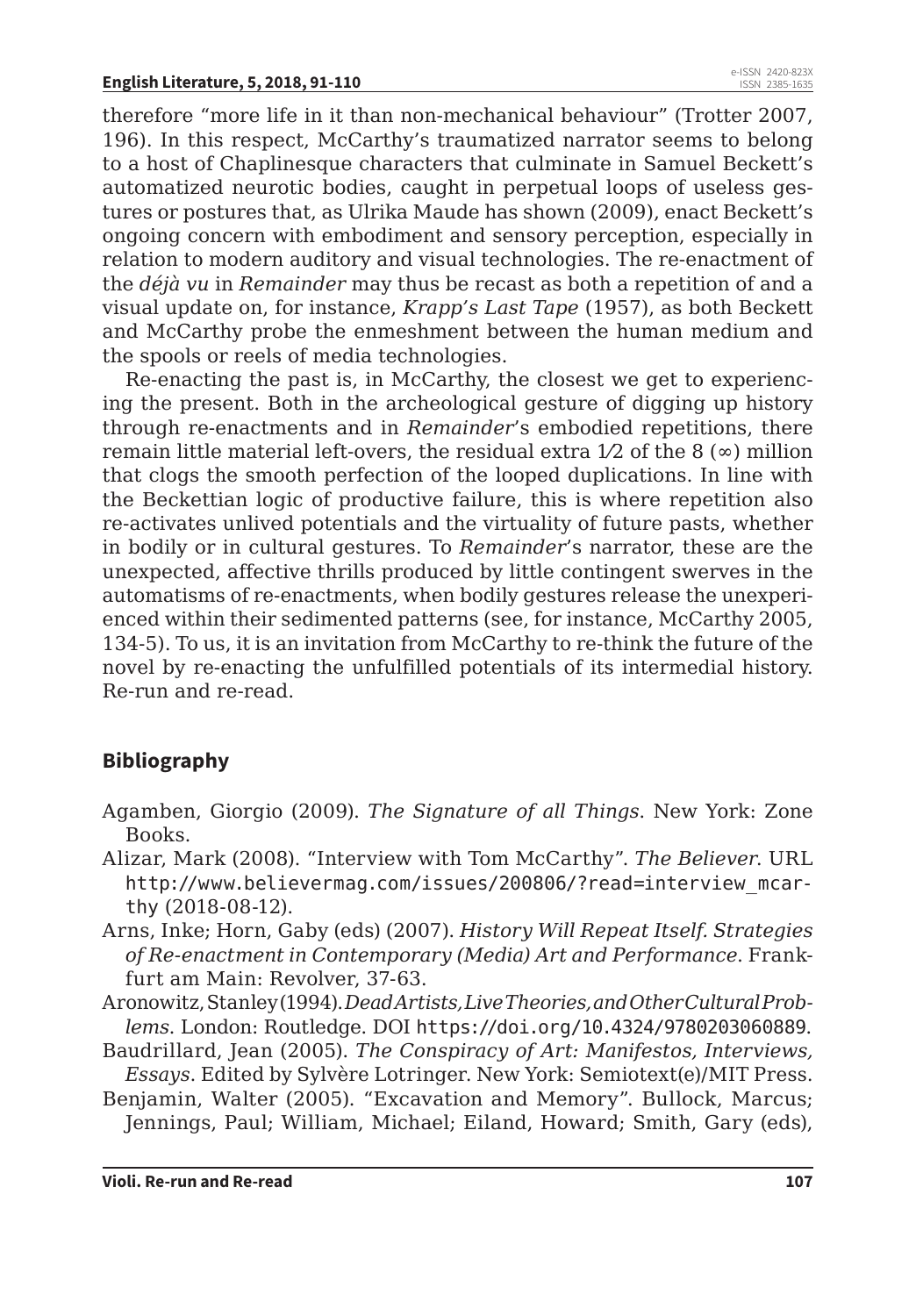therefore "more life in it than non-mechanical behaviour" (Trotter 2007, 196). In this respect, McCarthy's traumatized narrator seems to belong to a host of Chaplinesque characters that culminate in Samuel Beckett's automatized neurotic bodies, caught in perpetual loops of useless gestures or postures that, as Ulrika Maude has shown (2009), enact Beckett's ongoing concern with embodiment and sensory perception, especially in relation to modern auditory and visual technologies. The re-enactment of the *déjà vu* in *Remainder* may thus be recast as both a repetition of and a visual update on, for instance, *Krapp's Last Tape* (1957), as both Beckett and McCarthy probe the enmeshment between the human medium and the spools or reels of media technologies.

Re-enacting the past is, in McCarthy, the closest we get to experiencing the present. Both in the archeological gesture of digging up history through re-enactments and in *Remainder*'s embodied repetitions, there remain little material left-overs, the residual extra  $1/2$  of the 8 ( $\infty$ ) million that clogs the smooth perfection of the looped duplications. In line with the Beckettian logic of productive failure, this is where repetition also re-activates unlived potentials and the virtuality of future pasts, whether in bodily or in cultural gestures. To *Remainder*'s narrator, these are the unexpected, affective thrills produced by little contingent swerves in the automatisms of re-enactments, when bodily gestures release the unexperienced within their sedimented patterns (see, for instance, McCarthy 2005, 134-5). To us, it is an invitation from McCarthy to re-think the future of the novel by re-enacting the unfulfilled potentials of its intermedial history. Re-run and re-read.

### **Bibliography**

- Agamben, Giorgio (2009). *The Signature of all Things*. New York: Zone Books.
- Alizar, Mark (2008). "Interview with Tom McCarthy". *The Believer*. URL http://www.believermag.com/issues/200806/?read=interview\_mcarthy (2018-08-12).
- Arns, Inke; Horn, Gaby (eds) (2007). *History Will Repeat Itself. Strategies of Re-enactment in Contemporary (Media) Art and Performance*. Frankfurt am Main: Revolver, 37-63.
- Aronowitz, Stanley (1994). *Dead Artists, Live Theories, and Other Cultural Problems*. London: Routledge. DOI https://doi.org/10.4324/9780203060889.
- Baudrillard, Jean (2005). *The Conspiracy of Art: Manifestos, Interviews, Essays*. Edited by Sylvère Lotringer. New York: Semiotext(e)/MIT Press.
- Benjamin, Walter (2005). "Excavation and Memory". Bullock, Marcus; Jennings, Paul; William, Michael; Eiland, Howard; Smith, Gary (eds),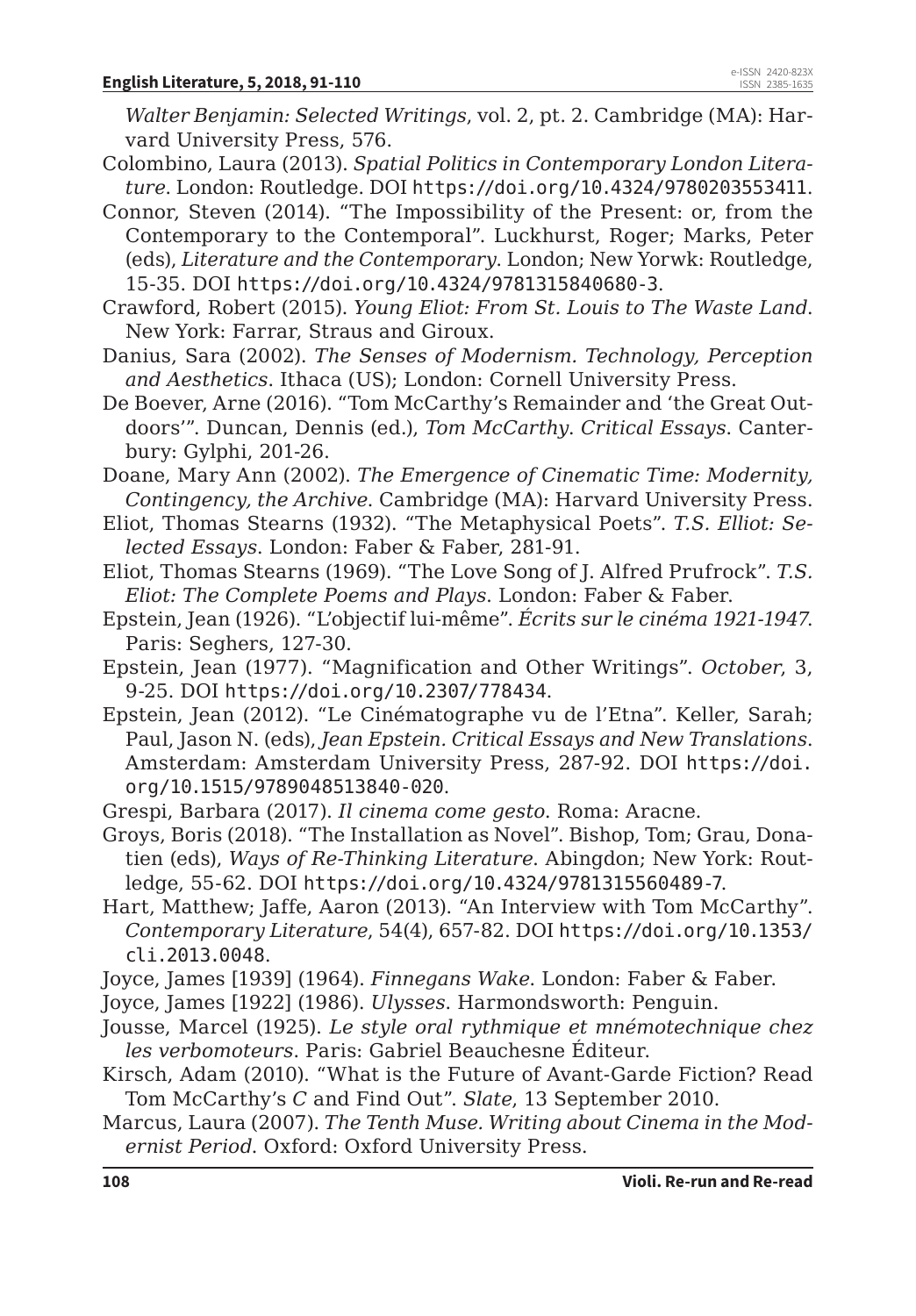*Walter Benjamin: Selected Writings*, vol. 2, pt. 2. Cambridge (MA): Harvard University Press, 576.

- Colombino, Laura (2013). *Spatial Politics in Contemporary London Literature*. London: Routledge. DOI https://doi.org/10.4324/9780203553411.
- Connor, Steven (2014). "The Impossibility of the Present: or, from the Contemporary to the Contemporal". Luckhurst, Roger; Marks, Peter (eds), *Literature and the Contemporary*. London; New Yorwk: Routledge, 15-35. DOI https://doi.org/10.4324/9781315840680-3.
- Crawford, Robert (2015). *Young Eliot: From St. Louis to The Waste Land*. New York: Farrar, Straus and Giroux.
- Danius, Sara (2002). *The Senses of Modernism. Technology, Perception and Aesthetics*. Ithaca (US); London: Cornell University Press.
- De Boever, Arne (2016). "Tom McCarthy's Remainder and 'the Great Outdoors'". Duncan, Dennis (ed.), *Tom McCarthy*. *Critical Essays*. Canterbury: Gylphi, 201-26.
- Doane, Mary Ann (2002). *The Emergence of Cinematic Time: Modernity, Contingency, the Archive*. Cambridge (MA): Harvard University Press.
- Eliot, Thomas Stearns (1932). "The Metaphysical Poets". *T.S. Elliot: Selected Essays*. London: Faber & Faber, 281-91.
- Eliot, Thomas Stearns (1969). "The Love Song of J. Alfred Prufrock". *T.S. Eliot: The Complete Poems and Plays*. London: Faber & Faber.
- Epstein, Jean (1926). "L'objectif lui-même". *Écrits sur le cinéma 1921-1947*. Paris: Seghers, 127-30.
- Epstein, Jean (1977). "Magnification and Other Writings". *October*, 3, 9-25. DOI https://doi.org/10.2307/778434.
- Epstein, Jean (2012). "Le Cinématographe vu de l'Etna". Keller, Sarah; Paul, Jason N. (eds), *Jean Epstein. Critical Essays and New Translations*. Amsterdam: Amsterdam University Press, 287-92. DOI https://doi. org/10.1515/9789048513840-020.
- Grespi, Barbara (2017). *Il cinema come gesto*. Roma: Aracne.
- Groys, Boris (2018). "The Installation as Novel". Bishop, Tom; Grau, Donatien (eds), *Ways of Re-Thinking Literature*. Abingdon; New York: Routledge, 55-62. DOI https://doi.org/10.4324/9781315560489-7.
- Hart, Matthew; Jaffe, Aaron (2013). "An Interview with Tom McCarthy". *Contemporary Literature*, 54(4), 657-82. DOI https://doi.org/10.1353/ cli.2013.0048.
- Joyce, James [1939] (1964). *Finnegans Wake*. London: Faber & Faber.
- Joyce, James [1922] (1986). *Ulysses*. Harmondsworth: Penguin.
- Jousse, Marcel (1925). *Le style oral rythmique et mnémotechnique chez les verbomoteurs*. Paris: Gabriel Beauchesne Éditeur.
- Kirsch, Adam (2010). "What is the Future of Avant-Garde Fiction? Read Tom McCarthy's *C* and Find Out". *Slate*, 13 September 2010.
- Marcus, Laura (2007). *The Tenth Muse. Writing about Cinema in the Modernist Period*. Oxford: Oxford University Press.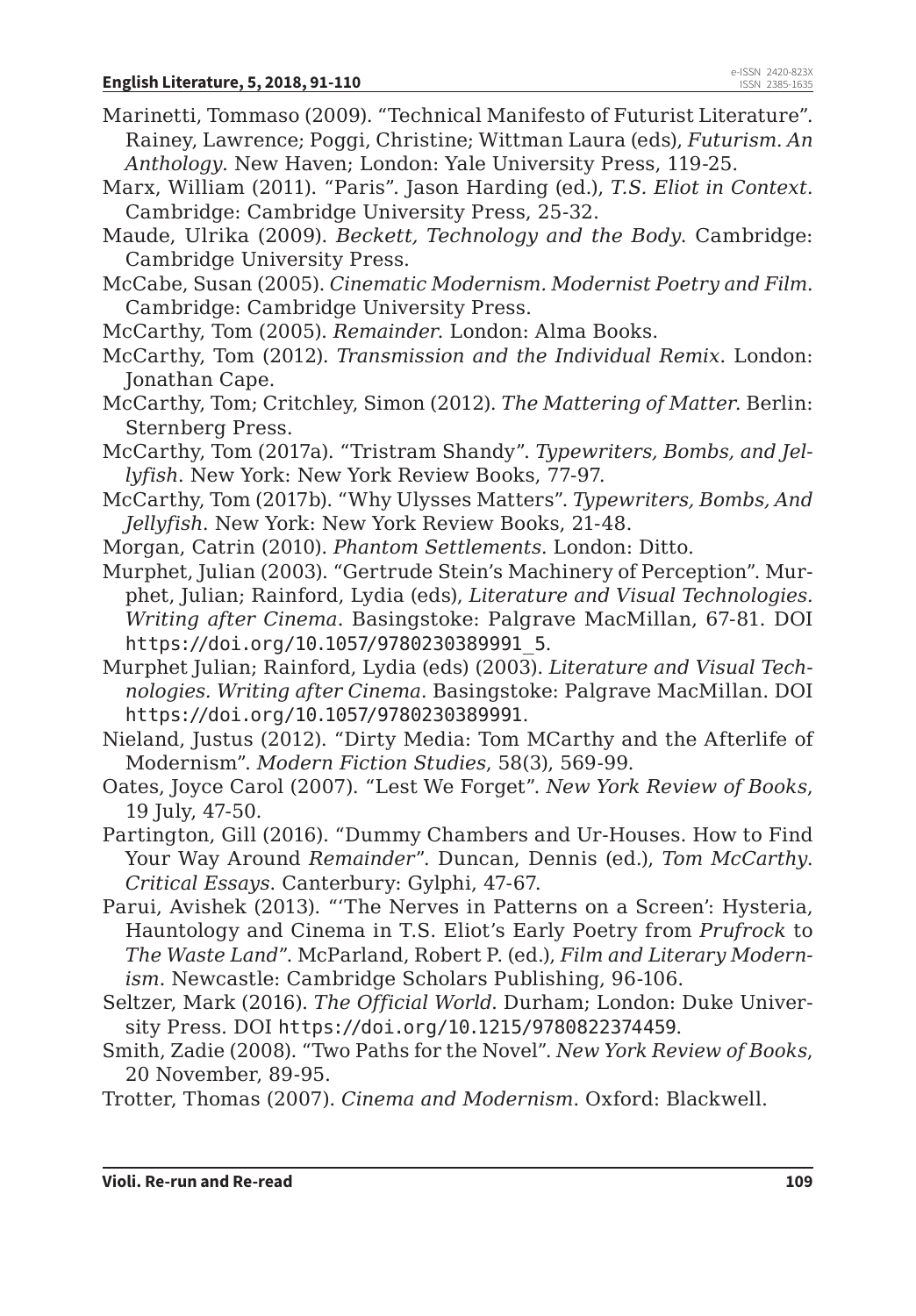- Marinetti, Tommaso (2009). "Technical Manifesto of Futurist Literature". Rainey, Lawrence; Poggi, Christine; Wittman Laura (eds), *Futurism. An Anthology*. New Haven; London: Yale University Press, 119-25.
- Marx, William (2011). "Paris". Jason Harding (ed.), *T.S. Eliot in Context*. Cambridge: Cambridge University Press, 25-32.
- Maude, Ulrika (2009). *Beckett, Technology and the Body*. Cambridge: Cambridge University Press.
- McCabe, Susan (2005). *Cinematic Modernism. Modernist Poetry and Film*. Cambridge: Cambridge University Press.
- McCarthy, Tom (2005). *Remainder*. London: Alma Books.
- McCarthy, Tom (2012). *Transmission and the Individual Remix*. London: Jonathan Cape.
- McCarthy, Tom; Critchley, Simon (2012). *The Mattering of Matter*. Berlin: Sternberg Press.
- McCarthy, Tom (2017a). "Tristram Shandy". *Typewriters, Bombs, and Jellyfish*. New York: New York Review Books, 77-97.
- McCarthy, Tom (2017b). "Why Ulysses Matters". *Typewriters, Bombs, And Jellyfish*. New York: New York Review Books, 21-48.
- Morgan, Catrin (2010). *Phantom Settlements*. London: Ditto.
- Murphet, Julian (2003). "Gertrude Stein's Machinery of Perception". Murphet, Julian; Rainford, Lydia (eds), *Literature and Visual Technologies. Writing after Cinema*. Basingstoke: Palgrave MacMillan, 67-81. DOI https://doi.org/10.1057/9780230389991\_5.
- Murphet Julian; Rainford, Lydia (eds) (2003). *Literature and Visual Technologies. Writing after Cinema*. Basingstoke: Palgrave MacMillan. DOI https://doi.org/10.1057/9780230389991.
- Nieland, Justus (2012). "Dirty Media: Tom MCarthy and the Afterlife of Modernism". *Modern Fiction Studies*, 58(3), 569-99.
- Oates, Joyce Carol (2007). "Lest We Forget". *New York Review of Books*, 19 July, 47-50.
- Partington, Gill (2016). "Dummy Chambers and Ur-Houses. How to Find Your Way Around *Remainder*". Duncan, Dennis (ed.), *Tom McCarthy*. *Critical Essays*. Canterbury: Gylphi, 47-67.
- Parui, Avishek (2013). "'The Nerves in Patterns on a Screen': Hysteria, Hauntology and Cinema in T.S. Eliot's Early Poetry from *Prufrock* to *The Waste Land*". McParland, Robert P. (ed.), *Film and Literary Modernism*. Newcastle: Cambridge Scholars Publishing, 96-106.
- Seltzer, Mark (2016). *The Official World*. Durham; London: Duke University Press. DOI https://doi.org/10.1215/9780822374459.
- Smith, Zadie (2008). "Two Paths for the Novel". *New York Review of Books*, 20 November, 89-95.
- Trotter, Thomas (2007). *Cinema and Modernism*. Oxford: Blackwell.